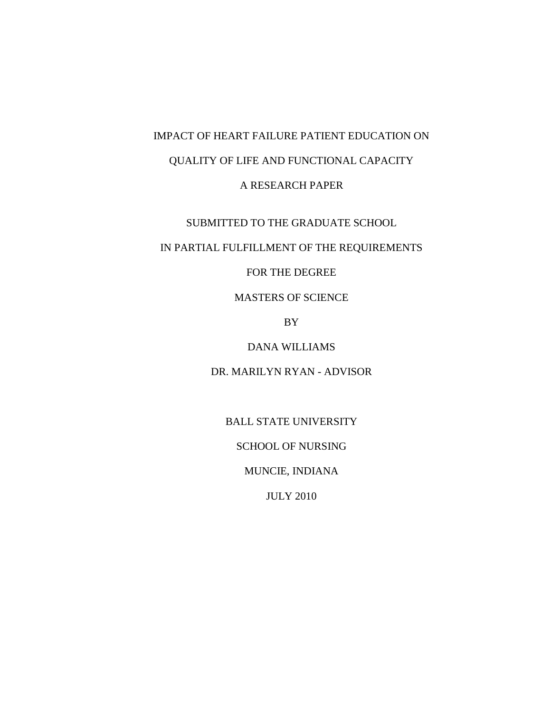# IMPACT OF HEART FAILURE PATIENT EDUCATION ON QUALITY OF LIFE AND FUNCTIONAL CAPACITY A RESEARCH PAPER

#### SUBMITTED TO THE GRADUATE SCHOOL

## IN PARTIAL FULFILLMENT OF THE REQUIREMENTS

#### FOR THE DEGREE

## MASTERS OF SCIENCE

BY

### DANA WILLIAMS

## DR. MARILYN RYAN - ADVISOR

BALL STATE UNIVERSITY

SCHOOL OF NURSING

MUNCIE, INDIANA

JULY 2010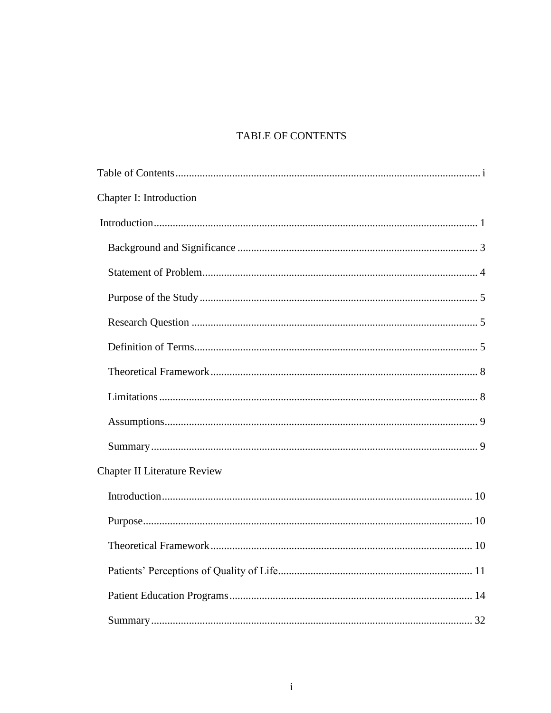## TABLE OF CONTENTS

| Chapter I: Introduction             |  |
|-------------------------------------|--|
|                                     |  |
|                                     |  |
|                                     |  |
|                                     |  |
|                                     |  |
|                                     |  |
|                                     |  |
|                                     |  |
|                                     |  |
|                                     |  |
| <b>Chapter II Literature Review</b> |  |
|                                     |  |
|                                     |  |
|                                     |  |
|                                     |  |
|                                     |  |
|                                     |  |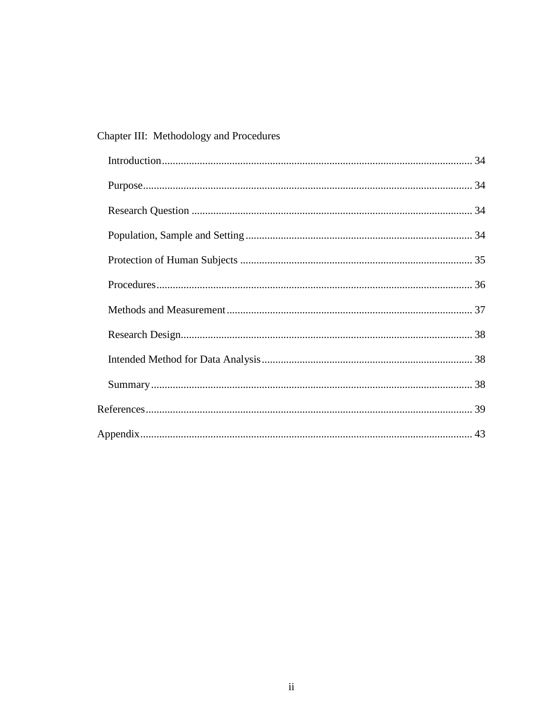## Chapter III: Methodology and Procedures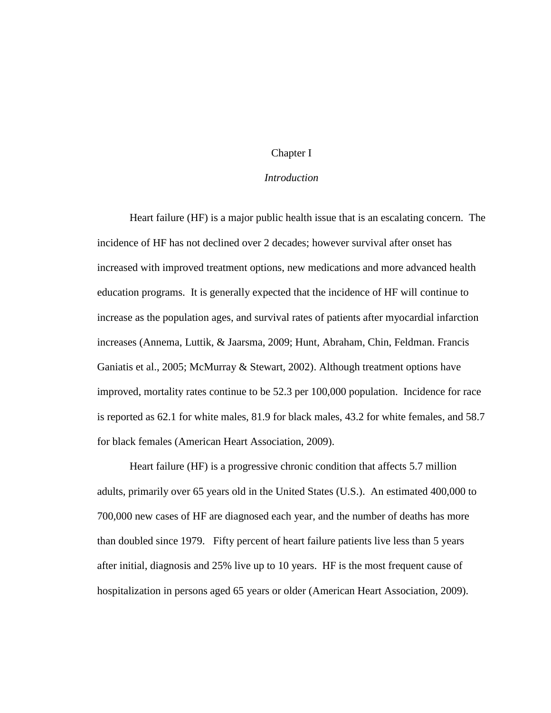#### Chapter I

#### *Introduction*

<span id="page-3-0"></span>Heart failure (HF) is a major public health issue that is an escalating concern. The incidence of HF has not declined over 2 decades; however survival after onset has increased with improved treatment options, new medications and more advanced health education programs. It is generally expected that the incidence of HF will continue to increase as the population ages, and survival rates of patients after myocardial infarction increases (Annema, Luttik, & Jaarsma, 2009; Hunt, Abraham, Chin, Feldman. Francis Ganiatis et al., 2005; McMurray & Stewart, 2002). Although treatment options have improved, mortality rates continue to be 52.3 per 100,000 population. Incidence for race is reported as 62.1 for white males, 81.9 for black males, 43.2 for white females, and 58.7 for black females (American Heart Association, 2009).

Heart failure (HF) is a progressive chronic condition that affects 5.7 million adults, primarily over 65 years old in the United States (U.S.). An estimated 400,000 to 700,000 new cases of HF are diagnosed each year, and the number of deaths has more than doubled since 1979. Fifty percent of heart failure patients live less than 5 years after initial, diagnosis and 25% live up to 10 years. HF is the most frequent cause of hospitalization in persons aged 65 years or older (American Heart Association, 2009).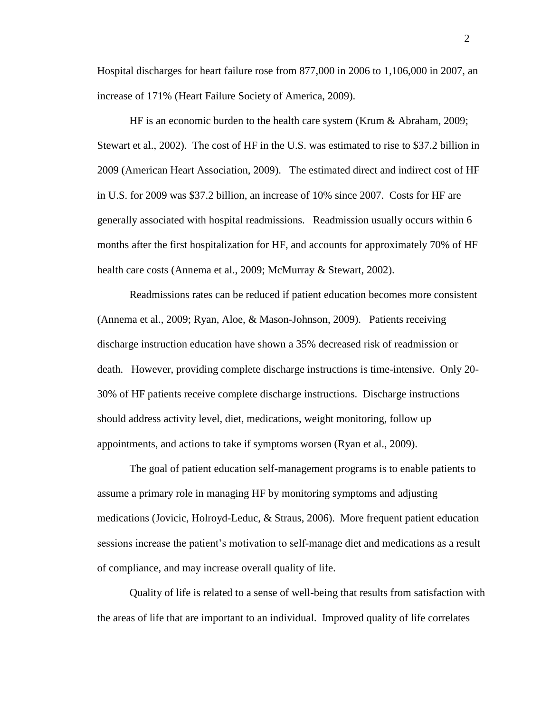Hospital discharges for heart failure rose from 877,000 in 2006 to 1,106,000 in 2007, an increase of 171% (Heart Failure Society of America, 2009).

HF is an economic burden to the health care system (Krum & Abraham, 2009; Stewart et al., 2002). The cost of HF in the U.S. was estimated to rise to \$37.2 billion in 2009 (American Heart Association, 2009). The estimated direct and indirect cost of HF in U.S. for 2009 was \$37.2 billion, an increase of 10% since 2007. Costs for HF are generally associated with hospital readmissions. Readmission usually occurs within 6 months after the first hospitalization for HF, and accounts for approximately 70% of HF health care costs (Annema et al., 2009; McMurray & Stewart, 2002).

Readmissions rates can be reduced if patient education becomes more consistent (Annema et al., 2009; Ryan, Aloe, & Mason-Johnson, 2009). Patients receiving discharge instruction education have shown a 35% decreased risk of readmission or death. However, providing complete discharge instructions is time-intensive. Only 20- 30% of HF patients receive complete discharge instructions. Discharge instructions should address activity level, diet, medications, weight monitoring, follow up appointments, and actions to take if symptoms worsen (Ryan et al., 2009).

The goal of patient education self-management programs is to enable patients to assume a primary role in managing HF by monitoring symptoms and adjusting medications (Jovicic, Holroyd-Leduc, & Straus, 2006). More frequent patient education sessions increase the patient's motivation to self-manage diet and medications as a result of compliance, and may increase overall quality of life.

Quality of life is related to a sense of well-being that results from satisfaction with the areas of life that are important to an individual. Improved quality of life correlates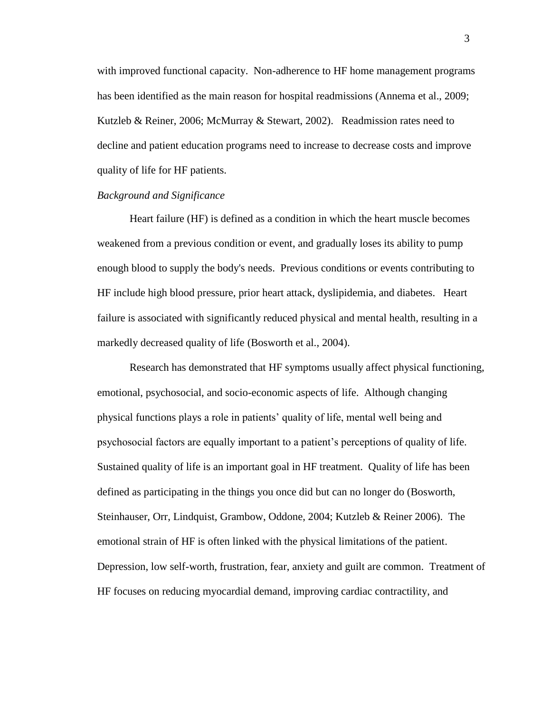with improved functional capacity. Non-adherence to HF home management programs has been identified as the main reason for hospital readmissions (Annema et al., 2009; Kutzleb & Reiner, 2006; McMurray & Stewart, 2002). Readmission rates need to decline and patient education programs need to increase to decrease costs and improve quality of life for HF patients.

#### <span id="page-5-0"></span>*Background and Significance*

Heart failure (HF) is defined as a condition in which the heart muscle becomes weakened from a previous condition or event, and gradually loses its ability to pump enough blood to supply the body's needs. Previous conditions or events contributing to HF include high blood pressure, prior heart attack, dyslipidemia, and diabetes. Heart failure is associated with significantly reduced physical and mental health, resulting in a markedly decreased quality of life (Bosworth et al., 2004).

Research has demonstrated that HF symptoms usually affect physical functioning, emotional, psychosocial, and socio-economic aspects of life. Although changing physical functions plays a role in patients' quality of life, mental well being and psychosocial factors are equally important to a patient's perceptions of quality of life. Sustained quality of life is an important goal in HF treatment. Quality of life has been defined as participating in the things you once did but can no longer do (Bosworth, Steinhauser, Orr, Lindquist, Grambow, Oddone, 2004; Kutzleb & Reiner 2006). The emotional strain of HF is often linked with the physical limitations of the patient. Depression, low self-worth, frustration, fear, anxiety and guilt are common. Treatment of HF focuses on reducing myocardial demand, improving cardiac contractility, and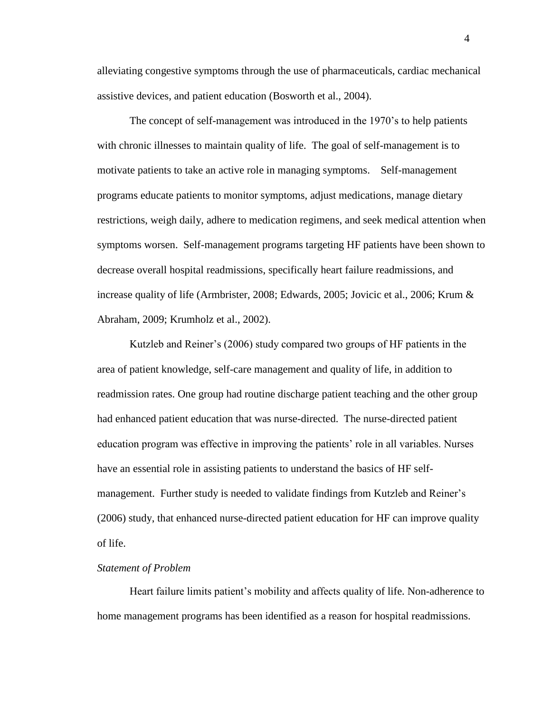alleviating congestive symptoms through the use of pharmaceuticals, cardiac mechanical assistive devices, and patient education (Bosworth et al., 2004).

The concept of self-management was introduced in the 1970's to help patients with chronic illnesses to maintain quality of life. The goal of self-management is to motivate patients to take an active role in managing symptoms. Self-management programs educate patients to monitor symptoms, adjust medications, manage dietary restrictions, weigh daily, adhere to medication regimens, and seek medical attention when symptoms worsen. Self-management programs targeting HF patients have been shown to decrease overall hospital readmissions, specifically heart failure readmissions, and increase quality of life (Armbrister, 2008; Edwards, 2005; Jovicic et al., 2006; Krum & Abraham, 2009; Krumholz et al., 2002).

Kutzleb and Reiner's (2006) study compared two groups of HF patients in the area of patient knowledge, self-care management and quality of life, in addition to readmission rates. One group had routine discharge patient teaching and the other group had enhanced patient education that was nurse-directed. The nurse-directed patient education program was effective in improving the patients' role in all variables. Nurses have an essential role in assisting patients to understand the basics of HF selfmanagement. Further study is needed to validate findings from Kutzleb and Reiner's (2006) study, that enhanced nurse-directed patient education for HF can improve quality of life.

#### <span id="page-6-0"></span>*Statement of Problem*

Heart failure limits patient's mobility and affects quality of life. Non-adherence to home management programs has been identified as a reason for hospital readmissions.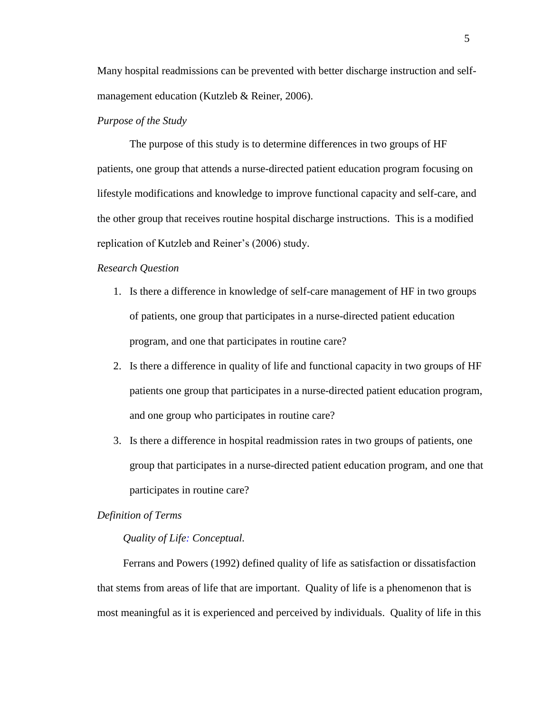Many hospital readmissions can be prevented with better discharge instruction and selfmanagement education (Kutzleb & Reiner, 2006).

#### <span id="page-7-0"></span>*Purpose of the Study*

The purpose of this study is to determine differences in two groups of HF patients, one group that attends a nurse-directed patient education program focusing on lifestyle modifications and knowledge to improve functional capacity and self-care, and the other group that receives routine hospital discharge instructions. This is a modified replication of Kutzleb and Reiner's (2006) study.

#### <span id="page-7-1"></span>*Research Question*

- 1. Is there a difference in knowledge of self-care management of HF in two groups of patients, one group that participates in a nurse-directed patient education program, and one that participates in routine care?
- 2. Is there a difference in quality of life and functional capacity in two groups of HF patients one group that participates in a nurse-directed patient education program, and one group who participates in routine care?
- 3. Is there a difference in hospital readmission rates in two groups of patients, one group that participates in a nurse-directed patient education program, and one that participates in routine care?

#### <span id="page-7-2"></span>*Definition of Terms*

#### *Quality of Life: Conceptual.*

Ferrans and Powers (1992) defined quality of life as satisfaction or dissatisfaction that stems from areas of life that are important. Quality of life is a phenomenon that is most meaningful as it is experienced and perceived by individuals. Quality of life in this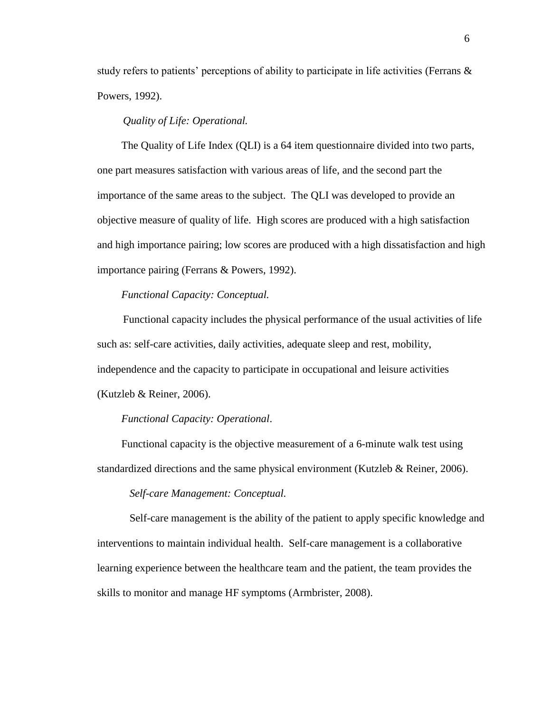study refers to patients' perceptions of ability to participate in life activities (Ferrans  $\&$ Powers, 1992).

#### *Quality of Life: Operational.*

The Quality of Life Index (QLI) is a 64 item questionnaire divided into two parts, one part measures satisfaction with various areas of life, and the second part the importance of the same areas to the subject. The QLI was developed to provide an objective measure of quality of life. High scores are produced with a high satisfaction and high importance pairing; low scores are produced with a high dissatisfaction and high importance pairing (Ferrans & Powers, 1992).

#### *Functional Capacity: Conceptual.*

Functional capacity includes the physical performance of the usual activities of life such as: self-care activities, daily activities, adequate sleep and rest, mobility, independence and the capacity to participate in occupational and leisure activities (Kutzleb & Reiner, 2006).

#### *Functional Capacity: Operational*.

Functional capacity is the objective measurement of a 6-minute walk test using standardized directions and the same physical environment (Kutzleb & Reiner, 2006).

#### *Self-care Management: Conceptual.*

Self-care management is the ability of the patient to apply specific knowledge and interventions to maintain individual health. Self-care management is a collaborative learning experience between the healthcare team and the patient, the team provides the skills to monitor and manage HF symptoms (Armbrister, 2008).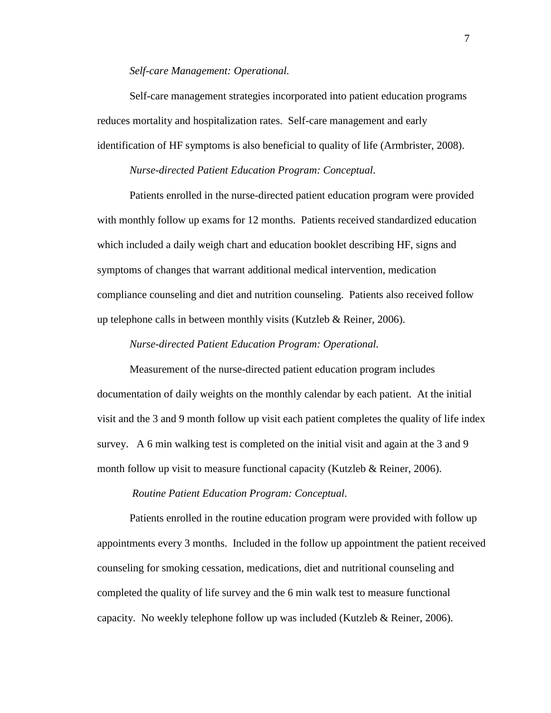#### *Self-care Management: Operational.*

Self-care management strategies incorporated into patient education programs reduces mortality and hospitalization rates. Self-care management and early identification of HF symptoms is also beneficial to quality of life (Armbrister, 2008).

#### *Nurse-directed Patient Education Program: Conceptual.*

Patients enrolled in the nurse-directed patient education program were provided with monthly follow up exams for 12 months. Patients received standardized education which included a daily weigh chart and education booklet describing HF, signs and symptoms of changes that warrant additional medical intervention, medication compliance counseling and diet and nutrition counseling. Patients also received follow up telephone calls in between monthly visits (Kutzleb  $&$  Reiner, 2006).

#### *Nurse-directed Patient Education Program: Operational.*

Measurement of the nurse-directed patient education program includes documentation of daily weights on the monthly calendar by each patient. At the initial visit and the 3 and 9 month follow up visit each patient completes the quality of life index survey. A 6 min walking test is completed on the initial visit and again at the 3 and 9 month follow up visit to measure functional capacity (Kutzleb & Reiner, 2006).

#### *Routine Patient Education Program: Conceptual.*

Patients enrolled in the routine education program were provided with follow up appointments every 3 months. Included in the follow up appointment the patient received counseling for smoking cessation, medications, diet and nutritional counseling and completed the quality of life survey and the 6 min walk test to measure functional capacity. No weekly telephone follow up was included (Kutzleb & Reiner, 2006).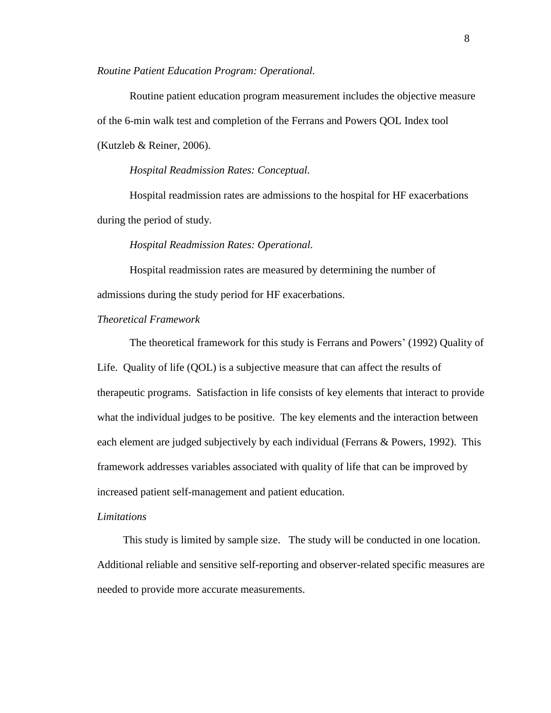*Routine Patient Education Program: Operational.*

Routine patient education program measurement includes the objective measure of the 6-min walk test and completion of the Ferrans and Powers QOL Index tool (Kutzleb & Reiner, 2006).

*Hospital Readmission Rates: Conceptual.*

Hospital readmission rates are admissions to the hospital for HF exacerbations during the period of study.

#### *Hospital Readmission Rates: Operational.*

Hospital readmission rates are measured by determining the number of admissions during the study period for HF exacerbations.

<span id="page-10-0"></span>*Theoretical Framework*

The theoretical framework for this study is Ferrans and Powers' (1992) Quality of Life. Quality of life (QOL) is a subjective measure that can affect the results of therapeutic programs. Satisfaction in life consists of key elements that interact to provide what the individual judges to be positive. The key elements and the interaction between each element are judged subjectively by each individual (Ferrans & Powers, 1992). This framework addresses variables associated with quality of life that can be improved by increased patient self-management and patient education.

#### <span id="page-10-1"></span>*Limitations*

<span id="page-10-2"></span>This study is limited by sample size. The study will be conducted in one location. Additional reliable and sensitive self-reporting and observer-related specific measures are needed to provide more accurate measurements.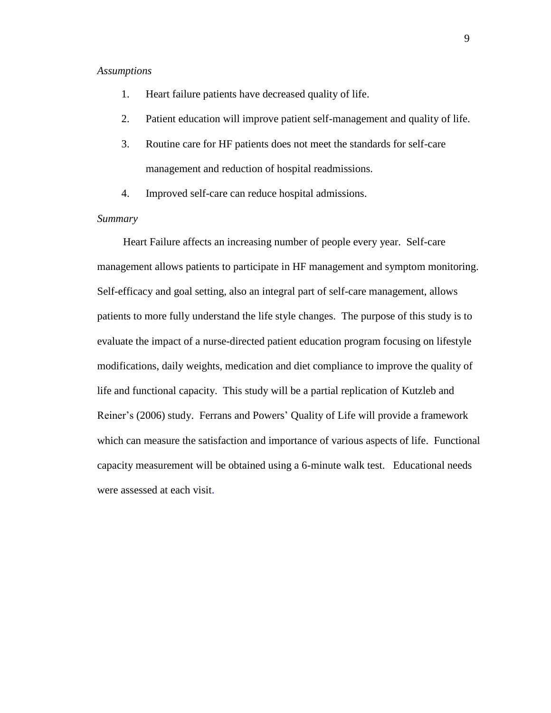#### *Assumptions*

- 1. Heart failure patients have decreased quality of life.
- 2. Patient education will improve patient self-management and quality of life.
- 3. Routine care for HF patients does not meet the standards for self-care management and reduction of hospital readmissions.
- 4. Improved self-care can reduce hospital admissions.

#### <span id="page-11-0"></span>*Summary*

Heart Failure affects an increasing number of people every year. Self-care management allows patients to participate in HF management and symptom monitoring. Self-efficacy and goal setting, also an integral part of self-care management, allows patients to more fully understand the life style changes. The purpose of this study is to evaluate the impact of a nurse-directed patient education program focusing on lifestyle modifications, daily weights, medication and diet compliance to improve the quality of life and functional capacity. This study will be a partial replication of Kutzleb and Reiner's (2006) study. Ferrans and Powers' Quality of Life will provide a framework which can measure the satisfaction and importance of various aspects of life. Functional capacity measurement will be obtained using a 6-minute walk test. Educational needs were assessed at each visit.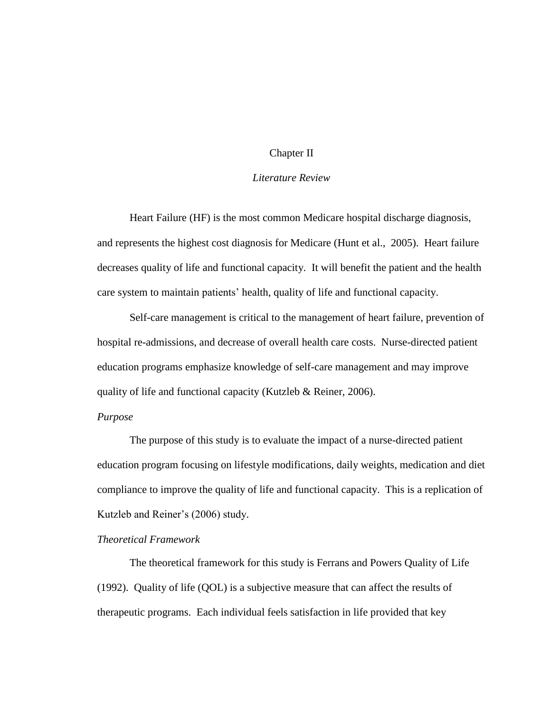#### Chapter II

#### *Literature Review*

<span id="page-12-0"></span>Heart Failure (HF) is the most common Medicare hospital discharge diagnosis, and represents the highest cost diagnosis for Medicare (Hunt et al., 2005). Heart failure decreases quality of life and functional capacity. It will benefit the patient and the health care system to maintain patients' health, quality of life and functional capacity.

Self-care management is critical to the management of heart failure, prevention of hospital re-admissions, and decrease of overall health care costs. Nurse-directed patient education programs emphasize knowledge of self-care management and may improve quality of life and functional capacity (Kutzleb & Reiner, 2006).

#### <span id="page-12-1"></span>*Purpose*

The purpose of this study is to evaluate the impact of a nurse-directed patient education program focusing on lifestyle modifications, daily weights, medication and diet compliance to improve the quality of life and functional capacity. This is a replication of Kutzleb and Reiner's (2006) study.

#### <span id="page-12-2"></span>*Theoretical Framework*

The theoretical framework for this study is Ferrans and Powers Quality of Life (1992). Quality of life (QOL) is a subjective measure that can affect the results of therapeutic programs. Each individual feels satisfaction in life provided that key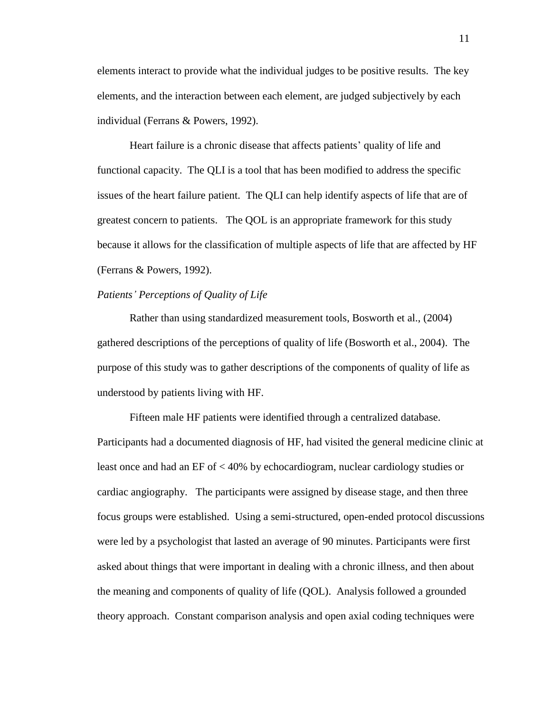elements interact to provide what the individual judges to be positive results. The key elements, and the interaction between each element, are judged subjectively by each individual (Ferrans & Powers, 1992).

Heart failure is a chronic disease that affects patients' quality of life and functional capacity. The QLI is a tool that has been modified to address the specific issues of the heart failure patient. The QLI can help identify aspects of life that are of greatest concern to patients. The QOL is an appropriate framework for this study because it allows for the classification of multiple aspects of life that are affected by HF (Ferrans & Powers, 1992).

#### <span id="page-13-0"></span>*Patients' Perceptions of Quality of Life*

Rather than using standardized measurement tools, Bosworth et al., (2004) gathered descriptions of the perceptions of quality of life (Bosworth et al., 2004). The purpose of this study was to gather descriptions of the components of quality of life as understood by patients living with HF.

 Fifteen male HF patients were identified through a centralized database. Participants had a documented diagnosis of HF, had visited the general medicine clinic at least once and had an EF of < 40% by echocardiogram, nuclear cardiology studies or cardiac angiography. The participants were assigned by disease stage, and then three focus groups were established. Using a semi-structured, open-ended protocol discussions were led by a psychologist that lasted an average of 90 minutes. Participants were first asked about things that were important in dealing with a chronic illness, and then about the meaning and components of quality of life (QOL). Analysis followed a grounded theory approach. Constant comparison analysis and open axial coding techniques were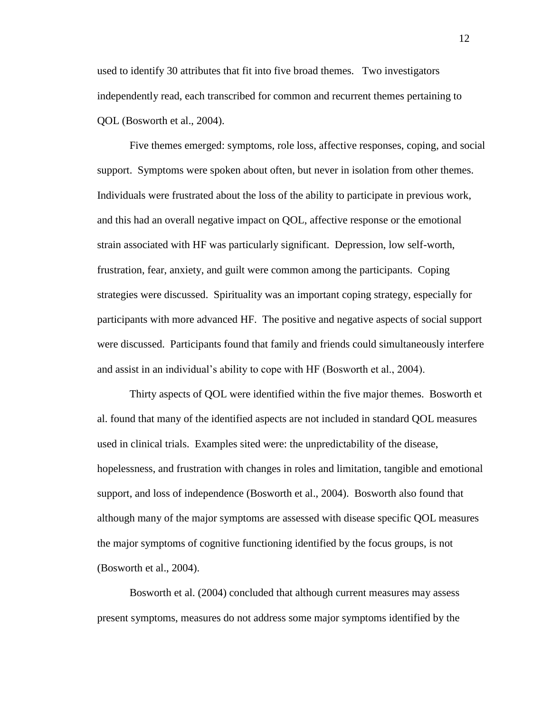used to identify 30 attributes that fit into five broad themes. Two investigators independently read, each transcribed for common and recurrent themes pertaining to QOL (Bosworth et al., 2004).

 Five themes emerged: symptoms, role loss, affective responses, coping, and social support. Symptoms were spoken about often, but never in isolation from other themes. Individuals were frustrated about the loss of the ability to participate in previous work, and this had an overall negative impact on QOL, affective response or the emotional strain associated with HF was particularly significant. Depression, low self-worth, frustration, fear, anxiety, and guilt were common among the participants. Coping strategies were discussed. Spirituality was an important coping strategy, especially for participants with more advanced HF. The positive and negative aspects of social support were discussed. Participants found that family and friends could simultaneously interfere and assist in an individual's ability to cope with HF (Bosworth et al., 2004).

Thirty aspects of QOL were identified within the five major themes. Bosworth et al. found that many of the identified aspects are not included in standard QOL measures used in clinical trials. Examples sited were: the unpredictability of the disease, hopelessness, and frustration with changes in roles and limitation, tangible and emotional support, and loss of independence (Bosworth et al., 2004). Bosworth also found that although many of the major symptoms are assessed with disease specific QOL measures the major symptoms of cognitive functioning identified by the focus groups, is not (Bosworth et al., 2004).

Bosworth et al. (2004) concluded that although current measures may assess present symptoms, measures do not address some major symptoms identified by the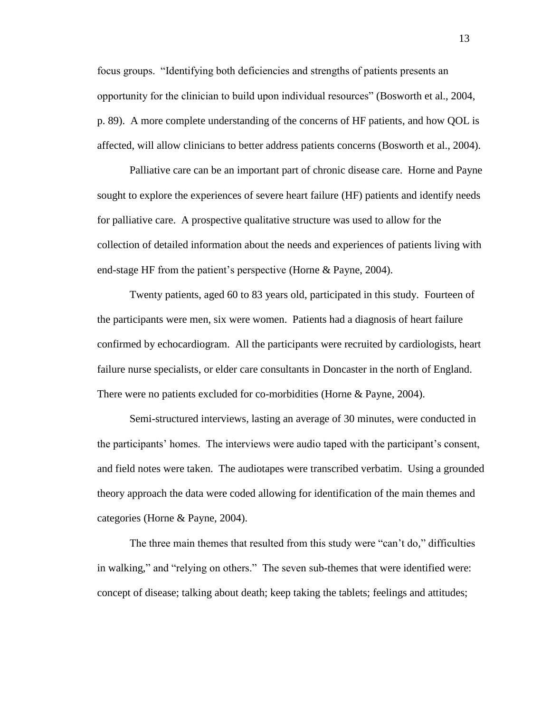focus groups. "Identifying both deficiencies and strengths of patients presents an opportunity for the clinician to build upon individual resources" (Bosworth et al., 2004, p. 89). A more complete understanding of the concerns of HF patients, and how QOL is affected, will allow clinicians to better address patients concerns (Bosworth et al., 2004).

Palliative care can be an important part of chronic disease care. Horne and Payne sought to explore the experiences of severe heart failure (HF) patients and identify needs for palliative care. A prospective qualitative structure was used to allow for the collection of detailed information about the needs and experiences of patients living with end-stage HF from the patient's perspective (Horne & Payne, 2004).

Twenty patients, aged 60 to 83 years old, participated in this study. Fourteen of the participants were men, six were women. Patients had a diagnosis of heart failure confirmed by echocardiogram. All the participants were recruited by cardiologists, heart failure nurse specialists, or elder care consultants in Doncaster in the north of England. There were no patients excluded for co-morbidities (Horne & Payne, 2004).

Semi-structured interviews, lasting an average of 30 minutes, were conducted in the participants' homes. The interviews were audio taped with the participant's consent, and field notes were taken. The audiotapes were transcribed verbatim. Using a grounded theory approach the data were coded allowing for identification of the main themes and categories (Horne & Payne, 2004).

The three main themes that resulted from this study were "can't do," difficulties in walking," and "relying on others." The seven sub-themes that were identified were: concept of disease; talking about death; keep taking the tablets; feelings and attitudes;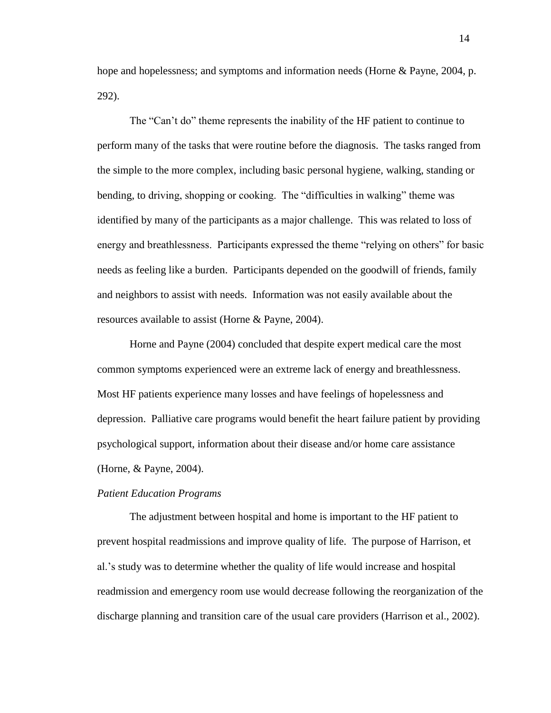hope and hopelessness; and symptoms and information needs (Horne & Payne, 2004, p. 292).

The "Can't do" theme represents the inability of the HF patient to continue to perform many of the tasks that were routine before the diagnosis. The tasks ranged from the simple to the more complex, including basic personal hygiene, walking, standing or bending, to driving, shopping or cooking. The "difficulties in walking" theme was identified by many of the participants as a major challenge. This was related to loss of energy and breathlessness. Participants expressed the theme "relying on others" for basic needs as feeling like a burden. Participants depended on the goodwill of friends, family and neighbors to assist with needs. Information was not easily available about the resources available to assist (Horne & Payne, 2004).

Horne and Payne (2004) concluded that despite expert medical care the most common symptoms experienced were an extreme lack of energy and breathlessness. Most HF patients experience many losses and have feelings of hopelessness and depression. Palliative care programs would benefit the heart failure patient by providing psychological support, information about their disease and/or home care assistance (Horne, & Payne, 2004).

#### <span id="page-16-0"></span>*Patient Education Programs*

The adjustment between hospital and home is important to the HF patient to prevent hospital readmissions and improve quality of life. The purpose of Harrison, et al.'s study was to determine whether the quality of life would increase and hospital readmission and emergency room use would decrease following the reorganization of the discharge planning and transition care of the usual care providers (Harrison et al., 2002).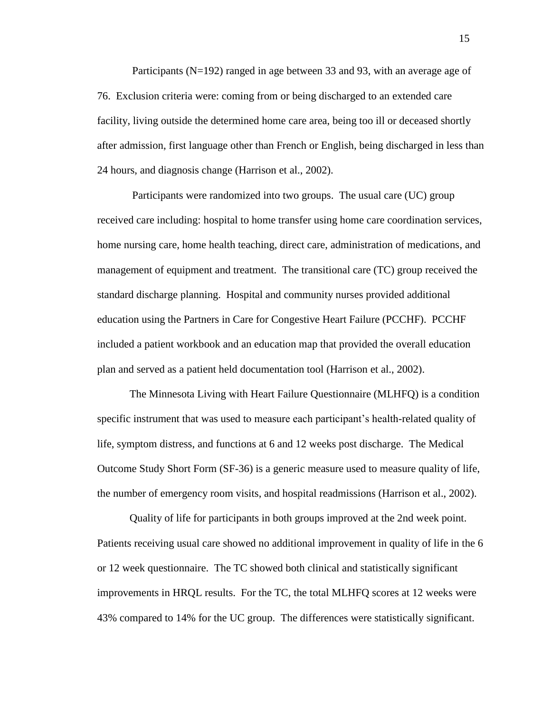Participants (N=192) ranged in age between 33 and 93, with an average age of 76. Exclusion criteria were: coming from or being discharged to an extended care facility, living outside the determined home care area, being too ill or deceased shortly after admission, first language other than French or English, being discharged in less than 24 hours, and diagnosis change (Harrison et al., 2002).

 Participants were randomized into two groups. The usual care (UC) group received care including: hospital to home transfer using home care coordination services, home nursing care, home health teaching, direct care, administration of medications, and management of equipment and treatment. The transitional care (TC) group received the standard discharge planning. Hospital and community nurses provided additional education using the Partners in Care for Congestive Heart Failure (PCCHF). PCCHF included a patient workbook and an education map that provided the overall education plan and served as a patient held documentation tool (Harrison et al., 2002).

 The Minnesota Living with Heart Failure Questionnaire (MLHFQ) is a condition specific instrument that was used to measure each participant's health-related quality of life, symptom distress, and functions at 6 and 12 weeks post discharge. The Medical Outcome Study Short Form (SF-36) is a generic measure used to measure quality of life, the number of emergency room visits, and hospital readmissions (Harrison et al., 2002).

Quality of life for participants in both groups improved at the 2nd week point. Patients receiving usual care showed no additional improvement in quality of life in the 6 or 12 week questionnaire. The TC showed both clinical and statistically significant improvements in HRQL results. For the TC, the total MLHFQ scores at 12 weeks were 43% compared to 14% for the UC group. The differences were statistically significant.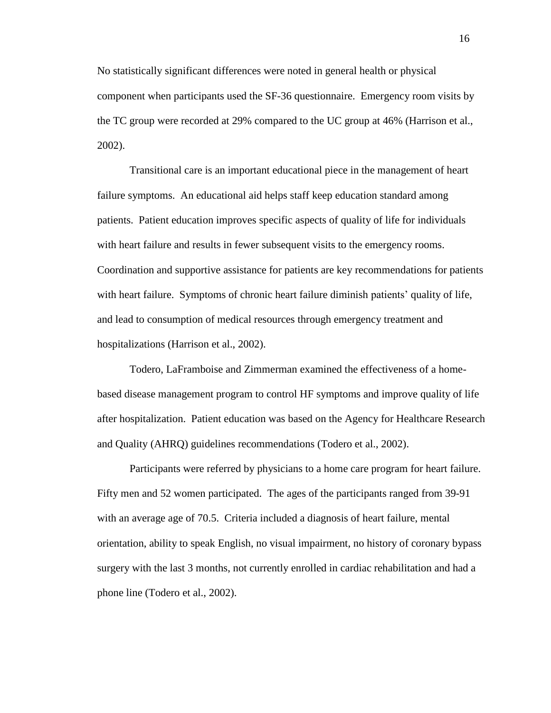No statistically significant differences were noted in general health or physical component when participants used the SF-36 questionnaire. Emergency room visits by the TC group were recorded at 29% compared to the UC group at 46% (Harrison et al., 2002).

 Transitional care is an important educational piece in the management of heart failure symptoms. An educational aid helps staff keep education standard among patients. Patient education improves specific aspects of quality of life for individuals with heart failure and results in fewer subsequent visits to the emergency rooms. Coordination and supportive assistance for patients are key recommendations for patients with heart failure. Symptoms of chronic heart failure diminish patients' quality of life, and lead to consumption of medical resources through emergency treatment and hospitalizations (Harrison et al., 2002).

Todero, LaFramboise and Zimmerman examined the effectiveness of a homebased disease management program to control HF symptoms and improve quality of life after hospitalization. Patient education was based on the Agency for Healthcare Research and Quality (AHRQ) guidelines recommendations (Todero et al., 2002).

Participants were referred by physicians to a home care program for heart failure. Fifty men and 52 women participated. The ages of the participants ranged from 39-91 with an average age of 70.5. Criteria included a diagnosis of heart failure, mental orientation, ability to speak English, no visual impairment, no history of coronary bypass surgery with the last 3 months, not currently enrolled in cardiac rehabilitation and had a phone line (Todero et al., 2002).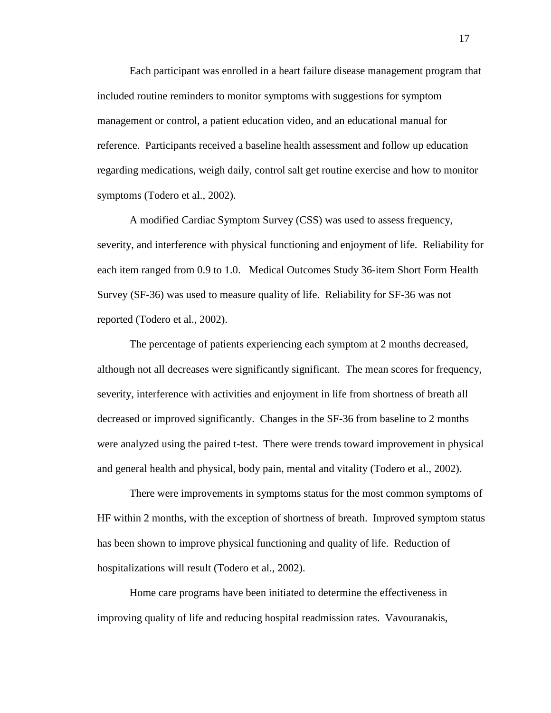Each participant was enrolled in a heart failure disease management program that included routine reminders to monitor symptoms with suggestions for symptom management or control, a patient education video, and an educational manual for reference. Participants received a baseline health assessment and follow up education regarding medications, weigh daily, control salt get routine exercise and how to monitor symptoms (Todero et al., 2002).

A modified Cardiac Symptom Survey (CSS) was used to assess frequency, severity, and interference with physical functioning and enjoyment of life. Reliability for each item ranged from 0.9 to 1.0. Medical Outcomes Study 36-item Short Form Health Survey (SF-36) was used to measure quality of life. Reliability for SF-36 was not reported (Todero et al., 2002).

The percentage of patients experiencing each symptom at 2 months decreased, although not all decreases were significantly significant. The mean scores for frequency, severity, interference with activities and enjoyment in life from shortness of breath all decreased or improved significantly. Changes in the SF-36 from baseline to 2 months were analyzed using the paired t-test. There were trends toward improvement in physical and general health and physical, body pain, mental and vitality (Todero et al., 2002).

There were improvements in symptoms status for the most common symptoms of HF within 2 months, with the exception of shortness of breath. Improved symptom status has been shown to improve physical functioning and quality of life. Reduction of hospitalizations will result (Todero et al., 2002).

Home care programs have been initiated to determine the effectiveness in improving quality of life and reducing hospital readmission rates. Vavouranakis,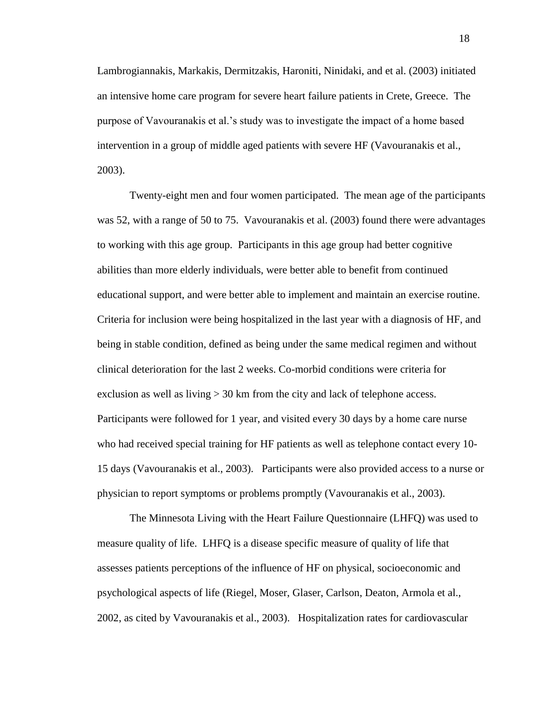Lambrogiannakis, Markakis, Dermitzakis, Haroniti, Ninidaki, and et al. (2003) initiated an intensive home care program for severe heart failure patients in Crete, Greece. The purpose of Vavouranakis et al.'s study was to investigate the impact of a home based intervention in a group of middle aged patients with severe HF (Vavouranakis et al., 2003).

Twenty-eight men and four women participated. The mean age of the participants was 52, with a range of 50 to 75. Vavouranakis et al. (2003) found there were advantages to working with this age group. Participants in this age group had better cognitive abilities than more elderly individuals, were better able to benefit from continued educational support, and were better able to implement and maintain an exercise routine. Criteria for inclusion were being hospitalized in the last year with a diagnosis of HF, and being in stable condition, defined as being under the same medical regimen and without clinical deterioration for the last 2 weeks. Co-morbid conditions were criteria for exclusion as well as living  $> 30$  km from the city and lack of telephone access. Participants were followed for 1 year, and visited every 30 days by a home care nurse who had received special training for HF patients as well as telephone contact every 10- 15 days (Vavouranakis et al., 2003). Participants were also provided access to a nurse or physician to report symptoms or problems promptly (Vavouranakis et al., 2003).

The Minnesota Living with the Heart Failure Questionnaire (LHFQ) was used to measure quality of life. LHFQ is a disease specific measure of quality of life that assesses patients perceptions of the influence of HF on physical, socioeconomic and psychological aspects of life (Riegel, Moser, Glaser, Carlson, Deaton, Armola et al., 2002, as cited by Vavouranakis et al., 2003). Hospitalization rates for cardiovascular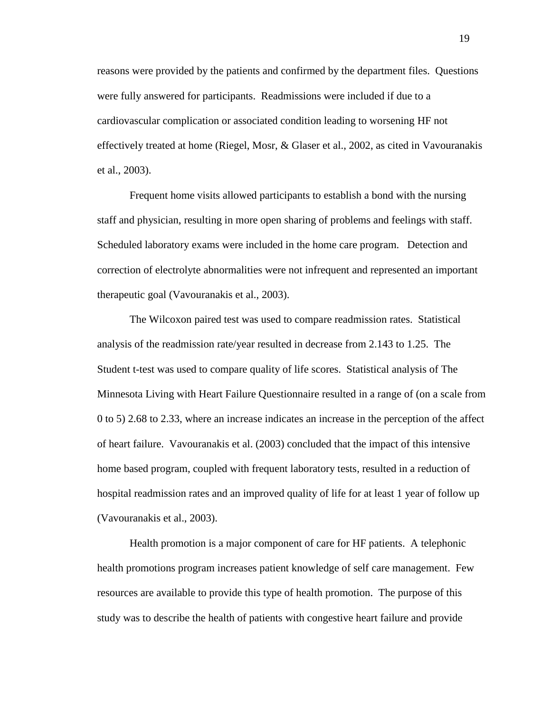reasons were provided by the patients and confirmed by the department files. Questions were fully answered for participants. Readmissions were included if due to a cardiovascular complication or associated condition leading to worsening HF not effectively treated at home (Riegel, Mosr, & Glaser et al., 2002, as cited in Vavouranakis et al., 2003).

Frequent home visits allowed participants to establish a bond with the nursing staff and physician, resulting in more open sharing of problems and feelings with staff. Scheduled laboratory exams were included in the home care program. Detection and correction of electrolyte abnormalities were not infrequent and represented an important therapeutic goal (Vavouranakis et al., 2003).

The Wilcoxon paired test was used to compare readmission rates. Statistical analysis of the readmission rate/year resulted in decrease from 2.143 to 1.25. The Student t-test was used to compare quality of life scores. Statistical analysis of The Minnesota Living with Heart Failure Questionnaire resulted in a range of (on a scale from 0 to 5) 2.68 to 2.33, where an increase indicates an increase in the perception of the affect of heart failure. Vavouranakis et al. (2003) concluded that the impact of this intensive home based program, coupled with frequent laboratory tests, resulted in a reduction of hospital readmission rates and an improved quality of life for at least 1 year of follow up (Vavouranakis et al., 2003).

Health promotion is a major component of care for HF patients. A telephonic health promotions program increases patient knowledge of self care management. Few resources are available to provide this type of health promotion. The purpose of this study was to describe the health of patients with congestive heart failure and provide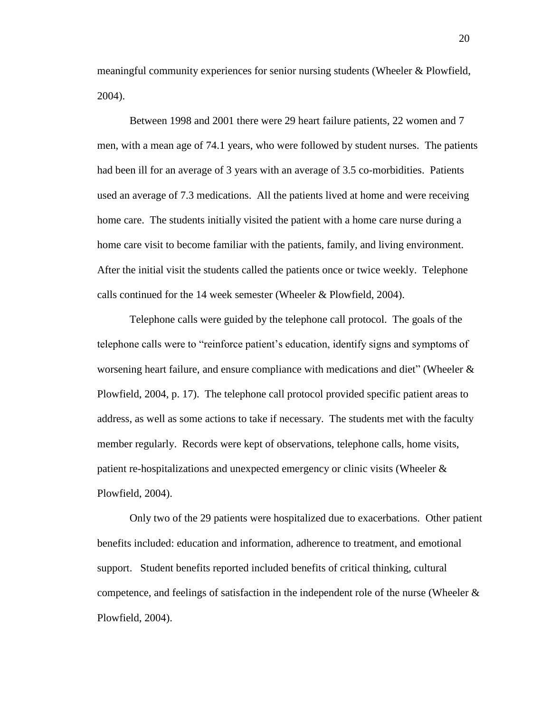meaningful community experiences for senior nursing students (Wheeler & Plowfield, 2004).

Between 1998 and 2001 there were 29 heart failure patients, 22 women and 7 men, with a mean age of 74.1 years, who were followed by student nurses. The patients had been ill for an average of 3 years with an average of 3.5 co-morbidities. Patients used an average of 7.3 medications. All the patients lived at home and were receiving home care. The students initially visited the patient with a home care nurse during a home care visit to become familiar with the patients, family, and living environment. After the initial visit the students called the patients once or twice weekly. Telephone calls continued for the 14 week semester (Wheeler & Plowfield, 2004).

Telephone calls were guided by the telephone call protocol. The goals of the telephone calls were to "reinforce patient's education, identify signs and symptoms of worsening heart failure, and ensure compliance with medications and diet" (Wheeler & Plowfield, 2004, p. 17). The telephone call protocol provided specific patient areas to address, as well as some actions to take if necessary. The students met with the faculty member regularly. Records were kept of observations, telephone calls, home visits, patient re-hospitalizations and unexpected emergency or clinic visits (Wheeler & Plowfield, 2004).

Only two of the 29 patients were hospitalized due to exacerbations. Other patient benefits included: education and information, adherence to treatment, and emotional support. Student benefits reported included benefits of critical thinking, cultural competence, and feelings of satisfaction in the independent role of the nurse (Wheeler  $\&$ Plowfield, 2004).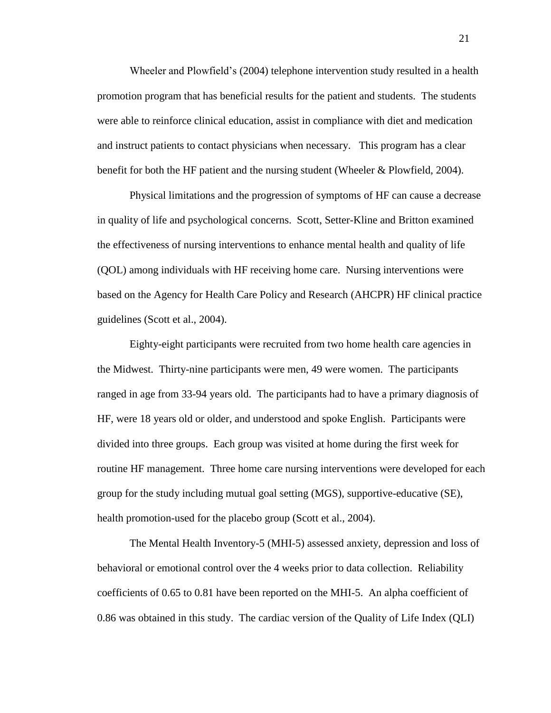Wheeler and Plowfield's (2004) telephone intervention study resulted in a health promotion program that has beneficial results for the patient and students. The students were able to reinforce clinical education, assist in compliance with diet and medication and instruct patients to contact physicians when necessary. This program has a clear benefit for both the HF patient and the nursing student (Wheeler & Plowfield, 2004).

Physical limitations and the progression of symptoms of HF can cause a decrease in quality of life and psychological concerns. Scott, Setter-Kline and Britton examined the effectiveness of nursing interventions to enhance mental health and quality of life (QOL) among individuals with HF receiving home care. Nursing interventions were based on the Agency for Health Care Policy and Research (AHCPR) HF clinical practice guidelines (Scott et al., 2004).

Eighty-eight participants were recruited from two home health care agencies in the Midwest. Thirty-nine participants were men, 49 were women. The participants ranged in age from 33-94 years old. The participants had to have a primary diagnosis of HF, were 18 years old or older, and understood and spoke English. Participants were divided into three groups. Each group was visited at home during the first week for routine HF management. Three home care nursing interventions were developed for each group for the study including mutual goal setting (MGS), supportive-educative (SE), health promotion-used for the placebo group (Scott et al., 2004).

The Mental Health Inventory-5 (MHI-5) assessed anxiety, depression and loss of behavioral or emotional control over the 4 weeks prior to data collection. Reliability coefficients of 0.65 to 0.81 have been reported on the MHI-5. An alpha coefficient of 0.86 was obtained in this study. The cardiac version of the Quality of Life Index (QLI)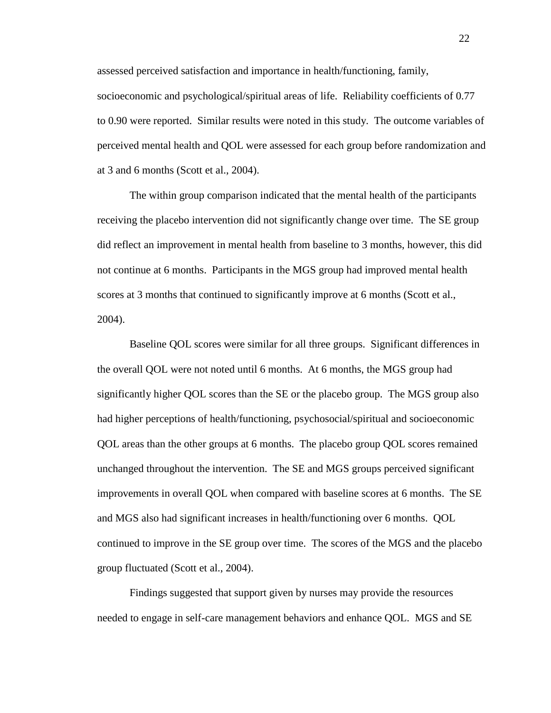assessed perceived satisfaction and importance in health/functioning, family, socioeconomic and psychological/spiritual areas of life. Reliability coefficients of 0.77 to 0.90 were reported. Similar results were noted in this study. The outcome variables of perceived mental health and QOL were assessed for each group before randomization and at 3 and 6 months (Scott et al., 2004).

The within group comparison indicated that the mental health of the participants receiving the placebo intervention did not significantly change over time. The SE group did reflect an improvement in mental health from baseline to 3 months, however, this did not continue at 6 months. Participants in the MGS group had improved mental health scores at 3 months that continued to significantly improve at 6 months (Scott et al., 2004).

Baseline QOL scores were similar for all three groups. Significant differences in the overall QOL were not noted until 6 months. At 6 months, the MGS group had significantly higher QOL scores than the SE or the placebo group. The MGS group also had higher perceptions of health/functioning, psychosocial/spiritual and socioeconomic QOL areas than the other groups at 6 months. The placebo group QOL scores remained unchanged throughout the intervention. The SE and MGS groups perceived significant improvements in overall QOL when compared with baseline scores at 6 months. The SE and MGS also had significant increases in health/functioning over 6 months. QOL continued to improve in the SE group over time. The scores of the MGS and the placebo group fluctuated (Scott et al., 2004).

Findings suggested that support given by nurses may provide the resources needed to engage in self-care management behaviors and enhance QOL. MGS and SE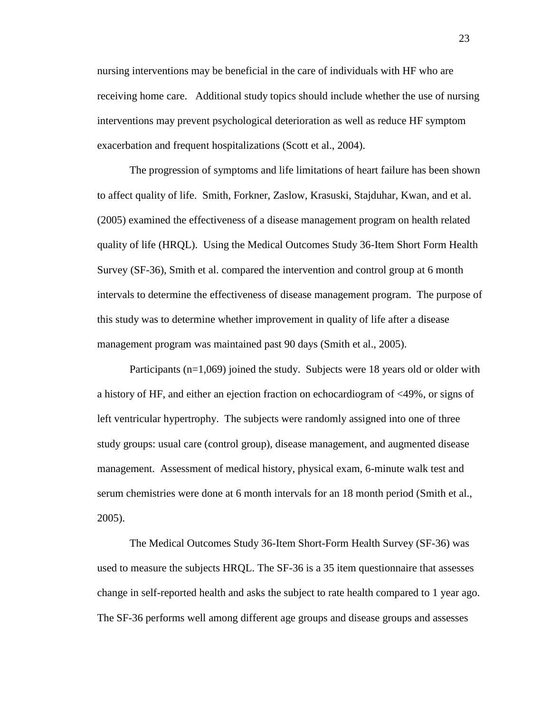nursing interventions may be beneficial in the care of individuals with HF who are receiving home care. Additional study topics should include whether the use of nursing interventions may prevent psychological deterioration as well as reduce HF symptom exacerbation and frequent hospitalizations (Scott et al., 2004).

The progression of symptoms and life limitations of heart failure has been shown to affect quality of life. Smith, Forkner, Zaslow, Krasuski, Stajduhar, Kwan, and et al. (2005) examined the effectiveness of a disease management program on health related quality of life (HRQL). Using the Medical Outcomes Study 36-Item Short Form Health Survey (SF-36), Smith et al. compared the intervention and control group at 6 month intervals to determine the effectiveness of disease management program. The purpose of this study was to determine whether improvement in quality of life after a disease management program was maintained past 90 days (Smith et al., 2005).

Participants (n=1,069) joined the study. Subjects were 18 years old or older with a history of HF, and either an ejection fraction on echocardiogram of <49%, or signs of left ventricular hypertrophy. The subjects were randomly assigned into one of three study groups: usual care (control group), disease management, and augmented disease management. Assessment of medical history, physical exam, 6-minute walk test and serum chemistries were done at 6 month intervals for an 18 month period (Smith et al., 2005).

The Medical Outcomes Study 36-Item Short-Form Health Survey (SF-36) was used to measure the subjects HRQL. The SF-36 is a 35 item questionnaire that assesses change in self-reported health and asks the subject to rate health compared to 1 year ago. The SF-36 performs well among different age groups and disease groups and assesses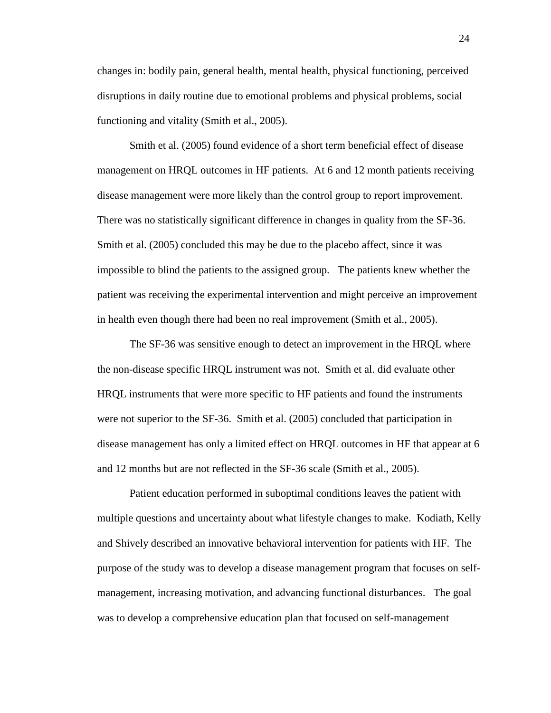changes in: bodily pain, general health, mental health, physical functioning, perceived disruptions in daily routine due to emotional problems and physical problems, social functioning and vitality (Smith et al., 2005).

Smith et al. (2005) found evidence of a short term beneficial effect of disease management on HRQL outcomes in HF patients. At 6 and 12 month patients receiving disease management were more likely than the control group to report improvement. There was no statistically significant difference in changes in quality from the SF-36. Smith et al. (2005) concluded this may be due to the placebo affect, since it was impossible to blind the patients to the assigned group. The patients knew whether the patient was receiving the experimental intervention and might perceive an improvement in health even though there had been no real improvement (Smith et al., 2005).

The SF-36 was sensitive enough to detect an improvement in the HRQL where the non-disease specific HRQL instrument was not. Smith et al. did evaluate other HRQL instruments that were more specific to HF patients and found the instruments were not superior to the SF-36. Smith et al. (2005) concluded that participation in disease management has only a limited effect on HRQL outcomes in HF that appear at 6 and 12 months but are not reflected in the SF-36 scale (Smith et al., 2005).

Patient education performed in suboptimal conditions leaves the patient with multiple questions and uncertainty about what lifestyle changes to make. Kodiath, Kelly and Shively described an innovative behavioral intervention for patients with HF. The purpose of the study was to develop a disease management program that focuses on selfmanagement, increasing motivation, and advancing functional disturbances. The goal was to develop a comprehensive education plan that focused on self-management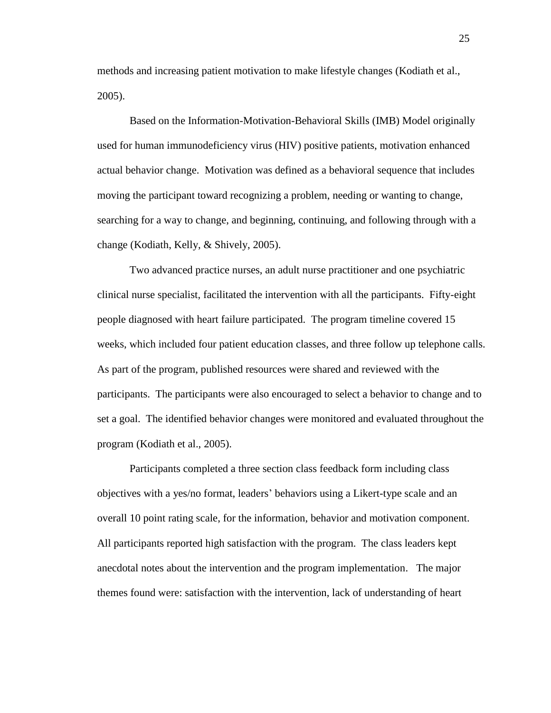methods and increasing patient motivation to make lifestyle changes (Kodiath et al., 2005).

Based on the Information-Motivation-Behavioral Skills (IMB) Model originally used for human immunodeficiency virus (HIV) positive patients, motivation enhanced actual behavior change. Motivation was defined as a behavioral sequence that includes moving the participant toward recognizing a problem, needing or wanting to change, searching for a way to change, and beginning, continuing, and following through with a change (Kodiath, Kelly, & Shively, 2005).

Two advanced practice nurses, an adult nurse practitioner and one psychiatric clinical nurse specialist, facilitated the intervention with all the participants. Fifty-eight people diagnosed with heart failure participated. The program timeline covered 15 weeks, which included four patient education classes, and three follow up telephone calls. As part of the program, published resources were shared and reviewed with the participants. The participants were also encouraged to select a behavior to change and to set a goal. The identified behavior changes were monitored and evaluated throughout the program (Kodiath et al., 2005).

Participants completed a three section class feedback form including class objectives with a yes/no format, leaders' behaviors using a Likert-type scale and an overall 10 point rating scale, for the information, behavior and motivation component. All participants reported high satisfaction with the program. The class leaders kept anecdotal notes about the intervention and the program implementation. The major themes found were: satisfaction with the intervention, lack of understanding of heart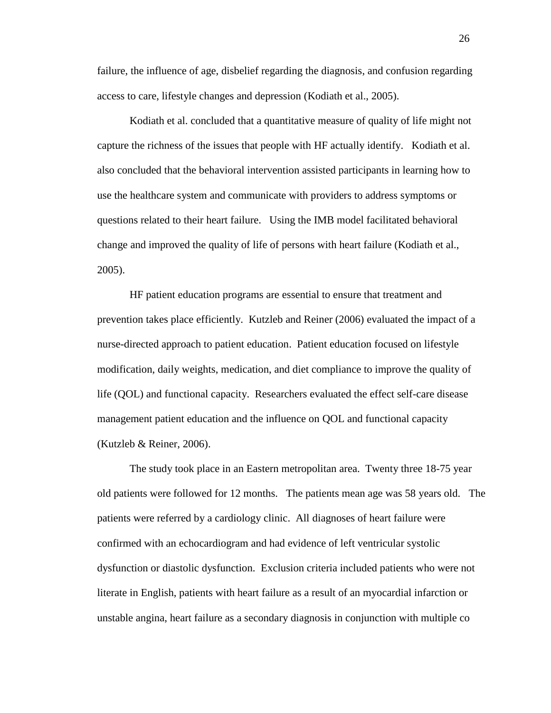failure, the influence of age, disbelief regarding the diagnosis, and confusion regarding access to care, lifestyle changes and depression (Kodiath et al., 2005).

Kodiath et al. concluded that a quantitative measure of quality of life might not capture the richness of the issues that people with HF actually identify. Kodiath et al. also concluded that the behavioral intervention assisted participants in learning how to use the healthcare system and communicate with providers to address symptoms or questions related to their heart failure. Using the IMB model facilitated behavioral change and improved the quality of life of persons with heart failure (Kodiath et al., 2005).

HF patient education programs are essential to ensure that treatment and prevention takes place efficiently. Kutzleb and Reiner (2006) evaluated the impact of a nurse-directed approach to patient education. Patient education focused on lifestyle modification, daily weights, medication, and diet compliance to improve the quality of life (QOL) and functional capacity. Researchers evaluated the effect self-care disease management patient education and the influence on QOL and functional capacity (Kutzleb & Reiner, 2006).

The study took place in an Eastern metropolitan area. Twenty three 18-75 year old patients were followed for 12 months. The patients mean age was 58 years old. The patients were referred by a cardiology clinic. All diagnoses of heart failure were confirmed with an echocardiogram and had evidence of left ventricular systolic dysfunction or diastolic dysfunction. Exclusion criteria included patients who were not literate in English, patients with heart failure as a result of an myocardial infarction or unstable angina, heart failure as a secondary diagnosis in conjunction with multiple co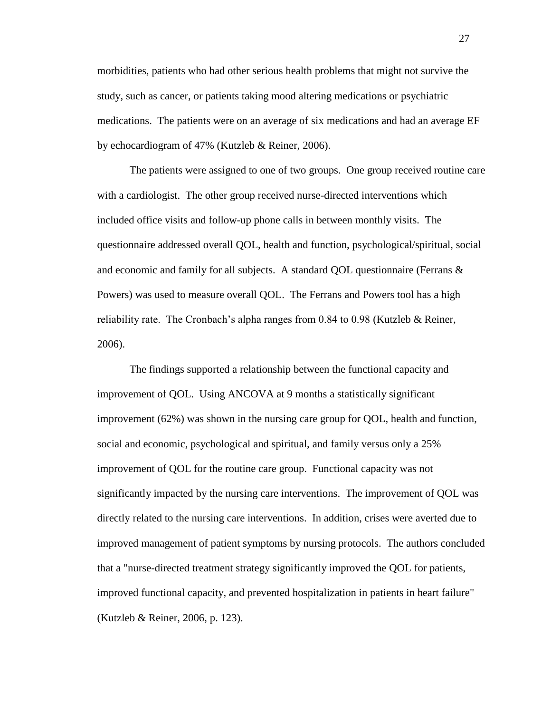morbidities, patients who had other serious health problems that might not survive the study, such as cancer, or patients taking mood altering medications or psychiatric medications. The patients were on an average of six medications and had an average EF by echocardiogram of 47% (Kutzleb & Reiner, 2006).

The patients were assigned to one of two groups. One group received routine care with a cardiologist. The other group received nurse-directed interventions which included office visits and follow-up phone calls in between monthly visits. The questionnaire addressed overall QOL, health and function, psychological/spiritual, social and economic and family for all subjects. A standard QOL questionnaire (Ferrans & Powers) was used to measure overall QOL. The Ferrans and Powers tool has a high reliability rate. The Cronbach's alpha ranges from  $0.84$  to  $0.98$  (Kutzleb & Reiner, 2006).

The findings supported a relationship between the functional capacity and improvement of QOL. Using ANCOVA at 9 months a statistically significant improvement (62%) was shown in the nursing care group for QOL, health and function, social and economic, psychological and spiritual, and family versus only a 25% improvement of QOL for the routine care group. Functional capacity was not significantly impacted by the nursing care interventions. The improvement of QOL was directly related to the nursing care interventions. In addition, crises were averted due to improved management of patient symptoms by nursing protocols. The authors concluded that a "nurse-directed treatment strategy significantly improved the QOL for patients, improved functional capacity, and prevented hospitalization in patients in heart failure" (Kutzleb & Reiner, 2006, p. 123).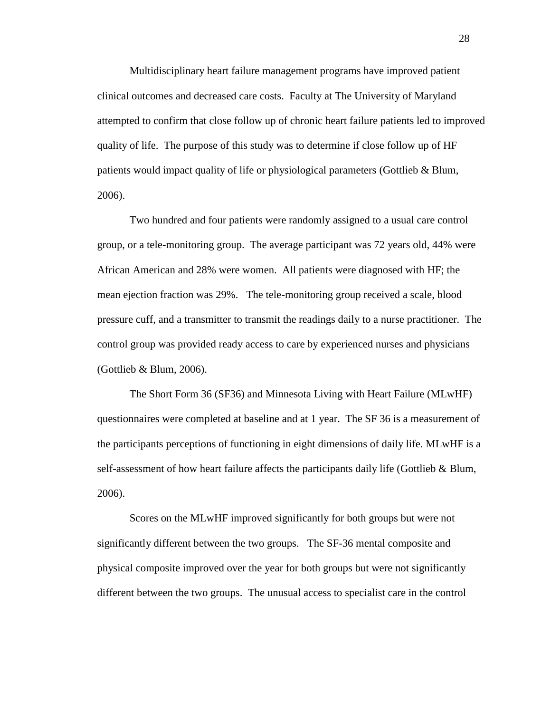Multidisciplinary heart failure management programs have improved patient clinical outcomes and decreased care costs. Faculty at The University of Maryland attempted to confirm that close follow up of chronic heart failure patients led to improved quality of life. The purpose of this study was to determine if close follow up of HF patients would impact quality of life or physiological parameters (Gottlieb & Blum, 2006).

Two hundred and four patients were randomly assigned to a usual care control group, or a tele-monitoring group. The average participant was 72 years old, 44% were African American and 28% were women. All patients were diagnosed with HF; the mean ejection fraction was 29%. The tele-monitoring group received a scale, blood pressure cuff, and a transmitter to transmit the readings daily to a nurse practitioner. The control group was provided ready access to care by experienced nurses and physicians (Gottlieb & Blum, 2006).

The Short Form 36 (SF36) and Minnesota Living with Heart Failure (MLwHF) questionnaires were completed at baseline and at 1 year. The SF 36 is a measurement of the participants perceptions of functioning in eight dimensions of daily life. MLwHF is a self-assessment of how heart failure affects the participants daily life (Gottlieb & Blum, 2006).

Scores on the MLwHF improved significantly for both groups but were not significantly different between the two groups. The SF-36 mental composite and physical composite improved over the year for both groups but were not significantly different between the two groups. The unusual access to specialist care in the control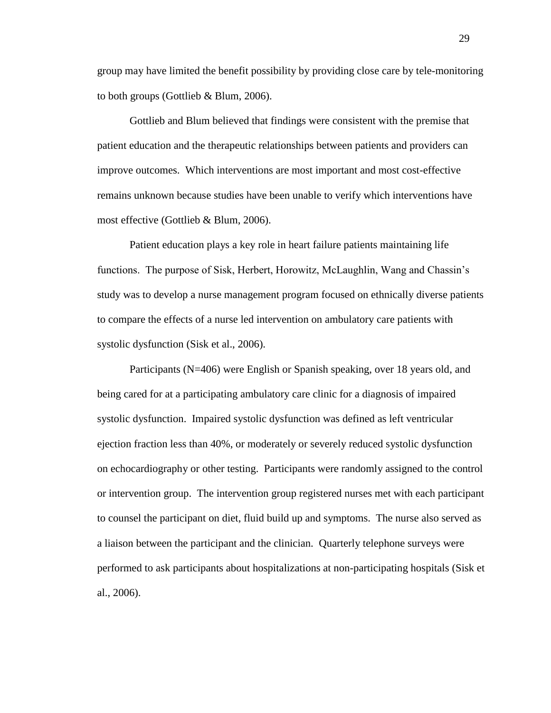group may have limited the benefit possibility by providing close care by tele-monitoring to both groups (Gottlieb & Blum, 2006).

Gottlieb and Blum believed that findings were consistent with the premise that patient education and the therapeutic relationships between patients and providers can improve outcomes. Which interventions are most important and most cost-effective remains unknown because studies have been unable to verify which interventions have most effective (Gottlieb & Blum, 2006).

Patient education plays a key role in heart failure patients maintaining life functions. The purpose of Sisk, Herbert, Horowitz, McLaughlin, Wang and Chassin's study was to develop a nurse management program focused on ethnically diverse patients to compare the effects of a nurse led intervention on ambulatory care patients with systolic dysfunction (Sisk et al., 2006).

Participants (N=406) were English or Spanish speaking, over 18 years old, and being cared for at a participating ambulatory care clinic for a diagnosis of impaired systolic dysfunction. Impaired systolic dysfunction was defined as left ventricular ejection fraction less than 40%, or moderately or severely reduced systolic dysfunction on echocardiography or other testing. Participants were randomly assigned to the control or intervention group. The intervention group registered nurses met with each participant to counsel the participant on diet, fluid build up and symptoms. The nurse also served as a liaison between the participant and the clinician. Quarterly telephone surveys were performed to ask participants about hospitalizations at non-participating hospitals (Sisk et al., 2006).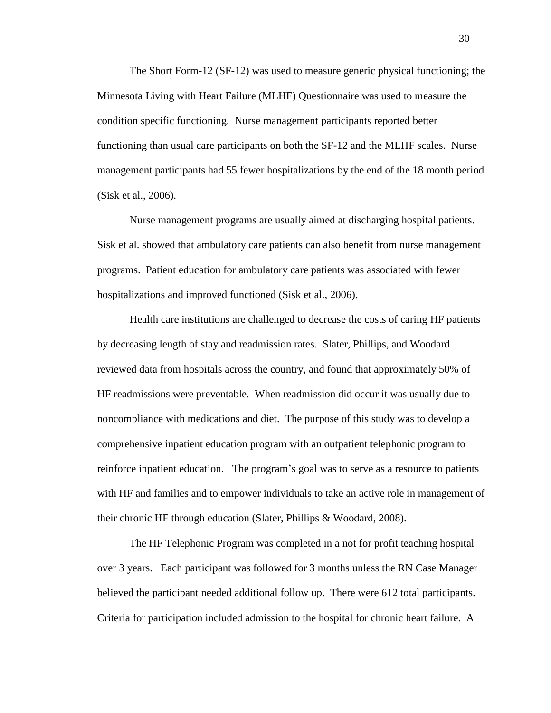The Short Form-12 (SF-12) was used to measure generic physical functioning; the Minnesota Living with Heart Failure (MLHF) Questionnaire was used to measure the condition specific functioning. Nurse management participants reported better functioning than usual care participants on both the SF-12 and the MLHF scales. Nurse management participants had 55 fewer hospitalizations by the end of the 18 month period (Sisk et al., 2006).

Nurse management programs are usually aimed at discharging hospital patients. Sisk et al. showed that ambulatory care patients can also benefit from nurse management programs. Patient education for ambulatory care patients was associated with fewer hospitalizations and improved functioned (Sisk et al., 2006).

Health care institutions are challenged to decrease the costs of caring HF patients by decreasing length of stay and readmission rates. Slater, Phillips, and Woodard reviewed data from hospitals across the country, and found that approximately 50% of HF readmissions were preventable. When readmission did occur it was usually due to noncompliance with medications and diet. The purpose of this study was to develop a comprehensive inpatient education program with an outpatient telephonic program to reinforce inpatient education. The program's goal was to serve as a resource to patients with HF and families and to empower individuals to take an active role in management of their chronic HF through education (Slater, Phillips & Woodard, 2008).

The HF Telephonic Program was completed in a not for profit teaching hospital over 3 years. Each participant was followed for 3 months unless the RN Case Manager believed the participant needed additional follow up. There were 612 total participants. Criteria for participation included admission to the hospital for chronic heart failure. A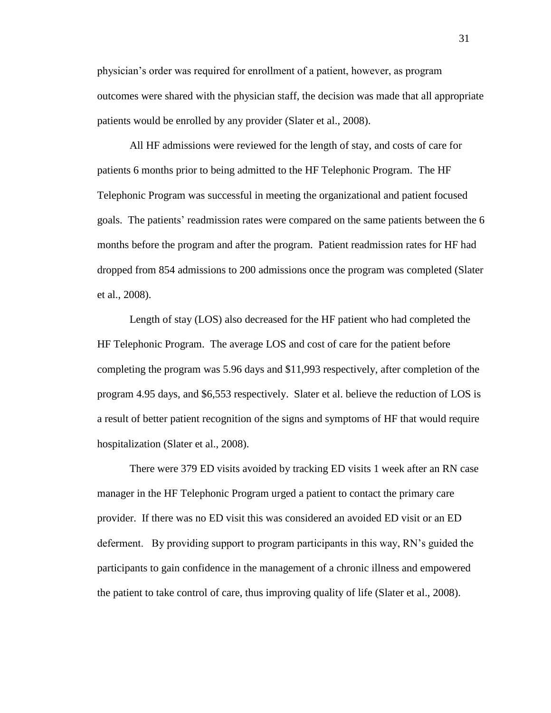physician's order was required for enrollment of a patient, however, as program outcomes were shared with the physician staff, the decision was made that all appropriate patients would be enrolled by any provider (Slater et al., 2008).

All HF admissions were reviewed for the length of stay, and costs of care for patients 6 months prior to being admitted to the HF Telephonic Program. The HF Telephonic Program was successful in meeting the organizational and patient focused goals. The patients' readmission rates were compared on the same patients between the 6 months before the program and after the program. Patient readmission rates for HF had dropped from 854 admissions to 200 admissions once the program was completed (Slater et al., 2008).

Length of stay (LOS) also decreased for the HF patient who had completed the HF Telephonic Program. The average LOS and cost of care for the patient before completing the program was 5.96 days and \$11,993 respectively, after completion of the program 4.95 days, and \$6,553 respectively. Slater et al. believe the reduction of LOS is a result of better patient recognition of the signs and symptoms of HF that would require hospitalization (Slater et al., 2008).

There were 379 ED visits avoided by tracking ED visits 1 week after an RN case manager in the HF Telephonic Program urged a patient to contact the primary care provider. If there was no ED visit this was considered an avoided ED visit or an ED deferment. By providing support to program participants in this way, RN's guided the participants to gain confidence in the management of a chronic illness and empowered the patient to take control of care, thus improving quality of life (Slater et al., 2008).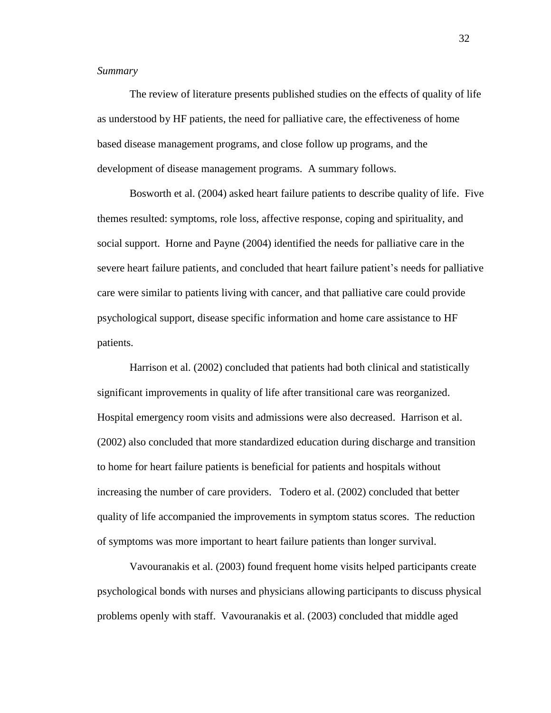#### <span id="page-34-0"></span>*Summary*

The review of literature presents published studies on the effects of quality of life as understood by HF patients, the need for palliative care, the effectiveness of home based disease management programs, and close follow up programs, and the development of disease management programs. A summary follows.

Bosworth et al. (2004) asked heart failure patients to describe quality of life. Five themes resulted: symptoms, role loss, affective response, coping and spirituality, and social support. Horne and Payne (2004) identified the needs for palliative care in the severe heart failure patients, and concluded that heart failure patient's needs for palliative care were similar to patients living with cancer, and that palliative care could provide psychological support, disease specific information and home care assistance to HF patients.

Harrison et al. (2002) concluded that patients had both clinical and statistically significant improvements in quality of life after transitional care was reorganized. Hospital emergency room visits and admissions were also decreased. Harrison et al. (2002) also concluded that more standardized education during discharge and transition to home for heart failure patients is beneficial for patients and hospitals without increasing the number of care providers. Todero et al. (2002) concluded that better quality of life accompanied the improvements in symptom status scores. The reduction of symptoms was more important to heart failure patients than longer survival.

Vavouranakis et al. (2003) found frequent home visits helped participants create psychological bonds with nurses and physicians allowing participants to discuss physical problems openly with staff. Vavouranakis et al. (2003) concluded that middle aged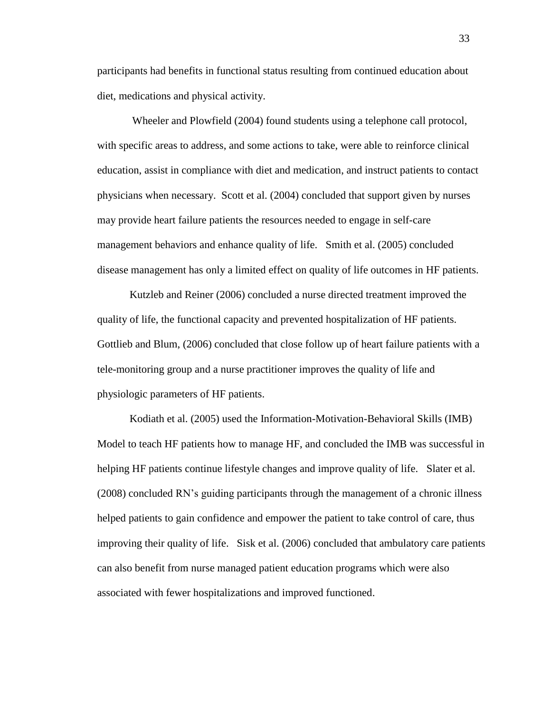participants had benefits in functional status resulting from continued education about diet, medications and physical activity.

 Wheeler and Plowfield (2004) found students using a telephone call protocol, with specific areas to address, and some actions to take, were able to reinforce clinical education, assist in compliance with diet and medication, and instruct patients to contact physicians when necessary. Scott et al. (2004) concluded that support given by nurses may provide heart failure patients the resources needed to engage in self-care management behaviors and enhance quality of life. Smith et al. (2005) concluded disease management has only a limited effect on quality of life outcomes in HF patients.

Kutzleb and Reiner (2006) concluded a nurse directed treatment improved the quality of life, the functional capacity and prevented hospitalization of HF patients. Gottlieb and Blum, (2006) concluded that close follow up of heart failure patients with a tele-monitoring group and a nurse practitioner improves the quality of life and physiologic parameters of HF patients.

Kodiath et al. (2005) used the Information-Motivation-Behavioral Skills (IMB) Model to teach HF patients how to manage HF, and concluded the IMB was successful in helping HF patients continue lifestyle changes and improve quality of life. Slater et al. (2008) concluded RN's guiding participants through the management of a chronic illness helped patients to gain confidence and empower the patient to take control of care, thus improving their quality of life. Sisk et al. (2006) concluded that ambulatory care patients can also benefit from nurse managed patient education programs which were also associated with fewer hospitalizations and improved functioned.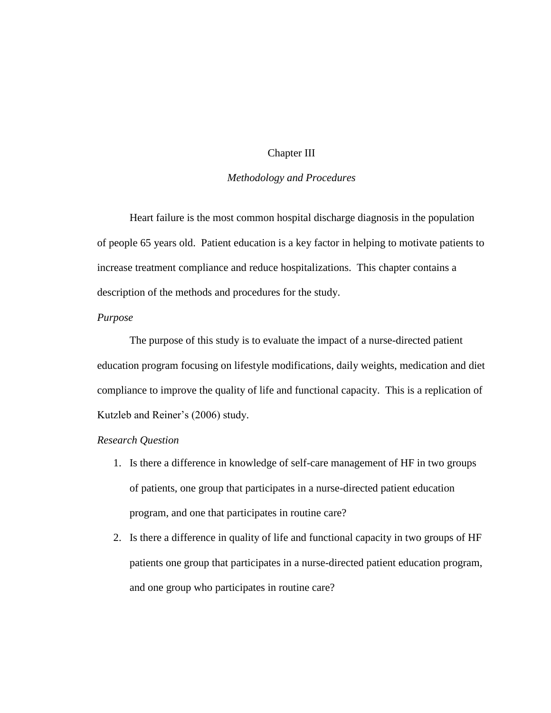#### Chapter III

#### *Methodology and Procedures*

<span id="page-36-0"></span>Heart failure is the most common hospital discharge diagnosis in the population of people 65 years old. Patient education is a key factor in helping to motivate patients to increase treatment compliance and reduce hospitalizations. This chapter contains a description of the methods and procedures for the study.

#### <span id="page-36-1"></span>*Purpose*

The purpose of this study is to evaluate the impact of a nurse-directed patient education program focusing on lifestyle modifications, daily weights, medication and diet compliance to improve the quality of life and functional capacity. This is a replication of Kutzleb and Reiner's (2006) study.

#### <span id="page-36-2"></span>*Research Question*

- <span id="page-36-3"></span>1. Is there a difference in knowledge of self-care management of HF in two groups of patients, one group that participates in a nurse-directed patient education program, and one that participates in routine care?
- 2. Is there a difference in quality of life and functional capacity in two groups of HF patients one group that participates in a nurse-directed patient education program, and one group who participates in routine care?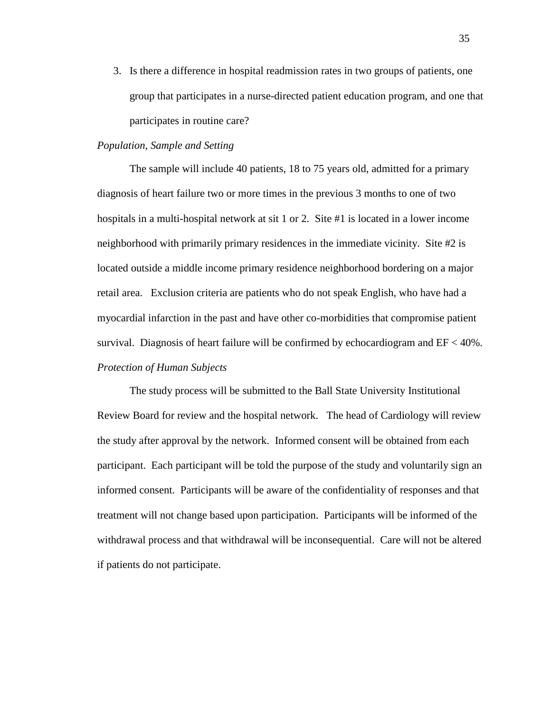3. Is there a difference in hospital readmission rates in two groups of patients, one group that participates in a nurse-directed patient education program, and one that participates in routine care?

#### *Population, Sample and Setting*

The sample will include 40 patients, 18 to 75 years old, admitted for a primary diagnosis of heart failure two or more times in the previous 3 months to one of two hospitals in a multi-hospital network at sit 1 or 2. Site #1 is located in a lower income neighborhood with primarily primary residences in the immediate vicinity. Site #2 is located outside a middle income primary residence neighborhood bordering on a major retail area. Exclusion criteria are patients who do not speak English, who have had a myocardial infarction in the past and have other co-morbidities that compromise patient survival. Diagnosis of heart failure will be confirmed by echocardiogram and  $EF < 40\%$ . *Protection of Human Subjects*

<span id="page-37-0"></span>The study process will be submitted to the Ball State University Institutional Review Board for review and the hospital network. The head of Cardiology will review the study after approval by the network. Informed consent will be obtained from each participant. Each participant will be told the purpose of the study and voluntarily sign an informed consent. Participants will be aware of the confidentiality of responses and that treatment will not change based upon participation. Participants will be informed of the withdrawal process and that withdrawal will be inconsequential. Care will not be altered if patients do not participate.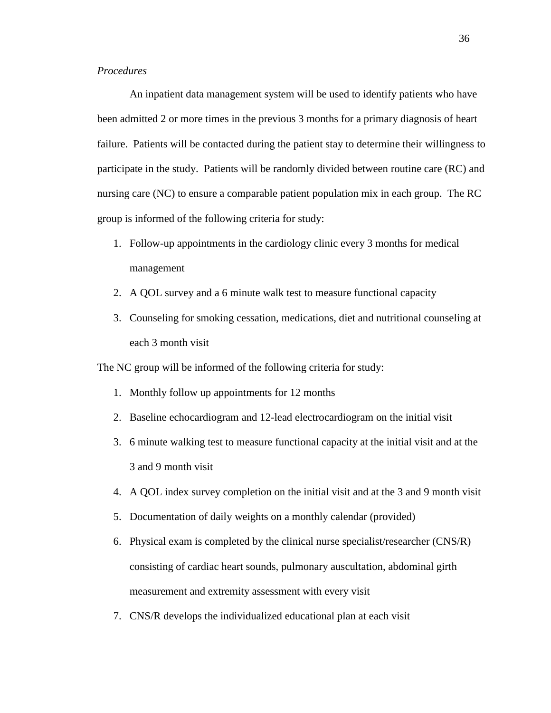#### <span id="page-38-0"></span>*Procedures*

An inpatient data management system will be used to identify patients who have been admitted 2 or more times in the previous 3 months for a primary diagnosis of heart failure. Patients will be contacted during the patient stay to determine their willingness to participate in the study. Patients will be randomly divided between routine care (RC) and nursing care (NC) to ensure a comparable patient population mix in each group. The RC group is informed of the following criteria for study:

- 1. Follow-up appointments in the cardiology clinic every 3 months for medical management
- 2. A QOL survey and a 6 minute walk test to measure functional capacity
- 3. Counseling for smoking cessation, medications, diet and nutritional counseling at each 3 month visit

The NC group will be informed of the following criteria for study:

- 1. Monthly follow up appointments for 12 months
- 2. Baseline echocardiogram and 12-lead electrocardiogram on the initial visit
- 3. 6 minute walking test to measure functional capacity at the initial visit and at the 3 and 9 month visit
- 4. A QOL index survey completion on the initial visit and at the 3 and 9 month visit
- 5. Documentation of daily weights on a monthly calendar (provided)
- 6. Physical exam is completed by the clinical nurse specialist/researcher (CNS/R) consisting of cardiac heart sounds, pulmonary auscultation, abdominal girth measurement and extremity assessment with every visit
- 7. CNS/R develops the individualized educational plan at each visit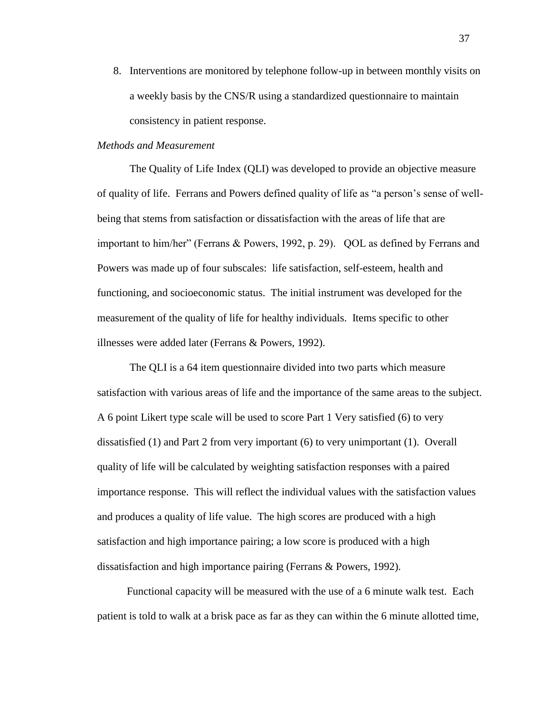8. Interventions are monitored by telephone follow-up in between monthly visits on a weekly basis by the CNS/R using a standardized questionnaire to maintain consistency in patient response.

#### <span id="page-39-0"></span>*Methods and Measurement*

The Quality of Life Index (QLI) was developed to provide an objective measure of quality of life. Ferrans and Powers defined quality of life as "a person's sense of wellbeing that stems from satisfaction or dissatisfaction with the areas of life that are important to him/her" (Ferrans & Powers, 1992, p. 29). QOL as defined by Ferrans and Powers was made up of four subscales: life satisfaction, self-esteem, health and functioning, and socioeconomic status. The initial instrument was developed for the measurement of the quality of life for healthy individuals. Items specific to other illnesses were added later (Ferrans & Powers, 1992).

The QLI is a 64 item questionnaire divided into two parts which measure satisfaction with various areas of life and the importance of the same areas to the subject. A 6 point Likert type scale will be used to score Part 1 Very satisfied (6) to very dissatisfied (1) and Part 2 from very important (6) to very unimportant (1). Overall quality of life will be calculated by weighting satisfaction responses with a paired importance response. This will reflect the individual values with the satisfaction values and produces a quality of life value. The high scores are produced with a high satisfaction and high importance pairing; a low score is produced with a high dissatisfaction and high importance pairing (Ferrans & Powers, 1992).

 Functional capacity will be measured with the use of a 6 minute walk test. Each patient is told to walk at a brisk pace as far as they can within the 6 minute allotted time,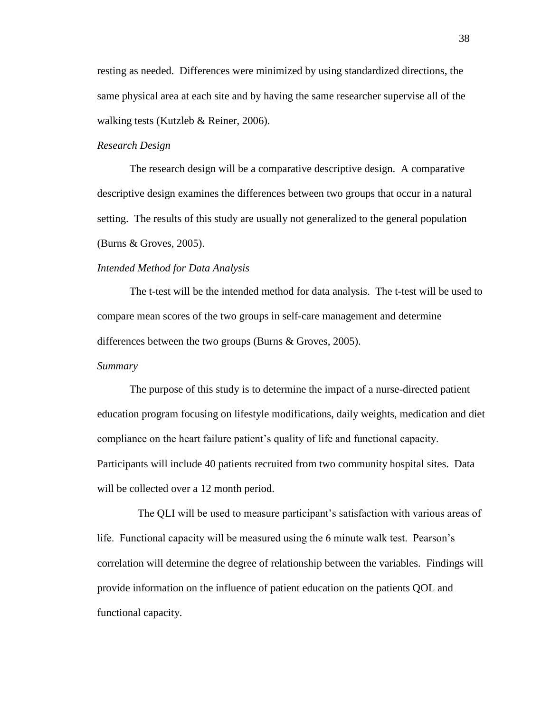resting as needed. Differences were minimized by using standardized directions, the same physical area at each site and by having the same researcher supervise all of the walking tests (Kutzleb & Reiner, 2006).

#### <span id="page-40-0"></span>*Research Design*

The research design will be a comparative descriptive design. A comparative descriptive design examines the differences between two groups that occur in a natural setting. The results of this study are usually not generalized to the general population (Burns & Groves, 2005).

#### <span id="page-40-1"></span>*Intended Method for Data Analysis*

The t-test will be the intended method for data analysis. The t-test will be used to compare mean scores of the two groups in self-care management and determine differences between the two groups (Burns & Groves, 2005).

#### <span id="page-40-2"></span>*Summary*

 The purpose of this study is to determine the impact of a nurse-directed patient education program focusing on lifestyle modifications, daily weights, medication and diet compliance on the heart failure patient's quality of life and functional capacity. Participants will include 40 patients recruited from two community hospital sites. Data will be collected over a 12 month period.

 The QLI will be used to measure participant's satisfaction with various areas of life. Functional capacity will be measured using the 6 minute walk test. Pearson's correlation will determine the degree of relationship between the variables. Findings will provide information on the influence of patient education on the patients QOL and functional capacity.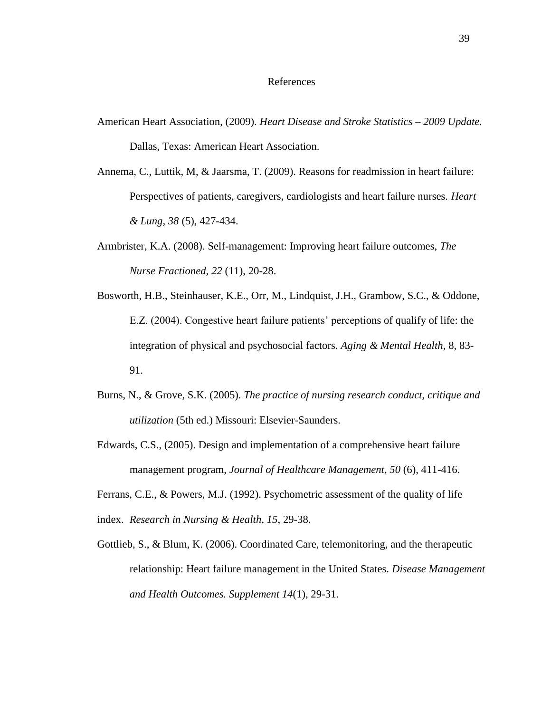#### References

- <span id="page-41-0"></span>American Heart Association, (2009). *Heart Disease and Stroke Statistics – 2009 Update.* Dallas, Texas: American Heart Association.
- Annema, C., Luttik, M, & Jaarsma, T. (2009). Reasons for readmission in heart failure: Perspectives of patients, caregivers, cardiologists and heart failure nurses. *Heart & Lung, 38* (5), 427-434.
- Armbrister, K.A. (2008). Self-management: Improving heart failure outcomes, *The Nurse Fractioned, 22* (11), 20-28.
- Bosworth, H.B., Steinhauser, K.E., Orr, M., Lindquist, J.H., Grambow, S.C., & Oddone, E.Z. (2004). Congestive heart failure patients' perceptions of qualify of life: the integration of physical and psychosocial factors. *Aging & Mental Health,* 8*,* 83- 91.
- Burns, N., & Grove, S.K. (2005). *The practice of nursing research conduct, critique and utilization* (5th ed.) Missouri: Elsevier-Saunders.
- Edwards, C.S., (2005). Design and implementation of a comprehensive heart failure management program, *Journal of Healthcare Management, 50* (6), 411-416.

Ferrans, C.E., & Powers, M.J. (1992). Psychometric assessment of the quality of life index. *Research in Nursing & Health, 15*, 29-38.

Gottlieb, S., & Blum, K. (2006). Coordinated Care, telemonitoring, and the therapeutic relationship: Heart failure management in the United States. *Disease Management and Health Outcomes. Supplement 14*(1), 29-31.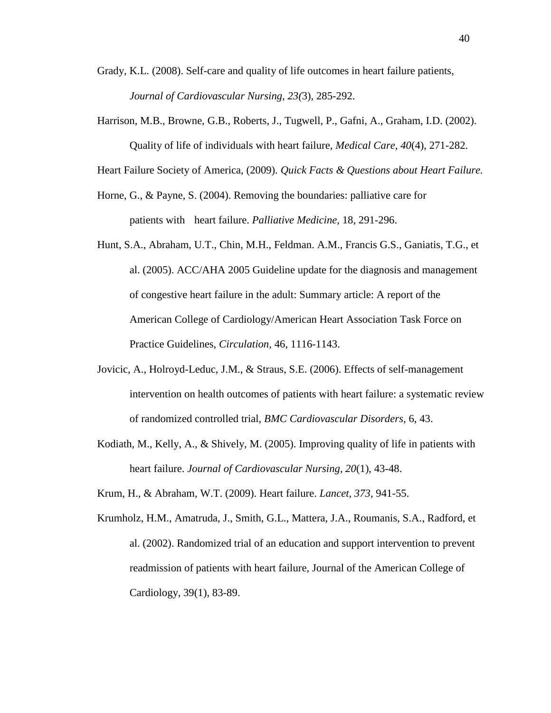- Grady, K.L. (2008). Self-care and quality of life outcomes in heart failure patients, *Journal of Cardiovascular Nursing, 23(*3), 285-292.
- Harrison, M.B., Browne, G.B., Roberts, J., Tugwell, P., Gafni, A., Graham, I.D. (2002). Quality of life of individuals with heart failure, *Medical Care, 40*(4), 271-282.

Heart Failure Society of America, (2009). *Quick Facts & Questions about Heart Failure.*

- Horne, G., & Payne, S. (2004). Removing the boundaries: palliative care for patients with heart failure. *Palliative Medicine,* 18, 291-296.
- Hunt, S.A., Abraham, U.T., Chin, M.H., Feldman. A.M., Francis G.S., Ganiatis, T.G., et al. (2005). ACC/AHA 2005 Guideline update for the diagnosis and management of congestive heart failure in the adult: Summary article: A report of the American College of Cardiology/American Heart Association Task Force on Practice Guidelines, *Circulation,* 46, 1116-1143.
- Jovicic, A., Holroyd-Leduc, J.M., & Straus, S.E. (2006). Effects of self-management intervention on health outcomes of patients with heart failure: a systematic review of randomized controlled trial, *BMC Cardiovascular Disorders,* 6, 43.
- Kodiath, M., Kelly, A., & Shively, M. (2005). Improving quality of life in patients with heart failure. *Journal of Cardiovascular Nursing, 20*(1), 43-48.

Krum, H., & Abraham, W.T. (2009). Heart failure. *Lancet, 373,* 941-55.

Krumholz, H.M., Amatruda, J., Smith, G.L., Mattera, J.A., Roumanis, S.A., Radford, et al. (2002). Randomized trial of an education and support intervention to prevent readmission of patients with heart failure, Journal of the American College of Cardiology, 39(1), 83-89.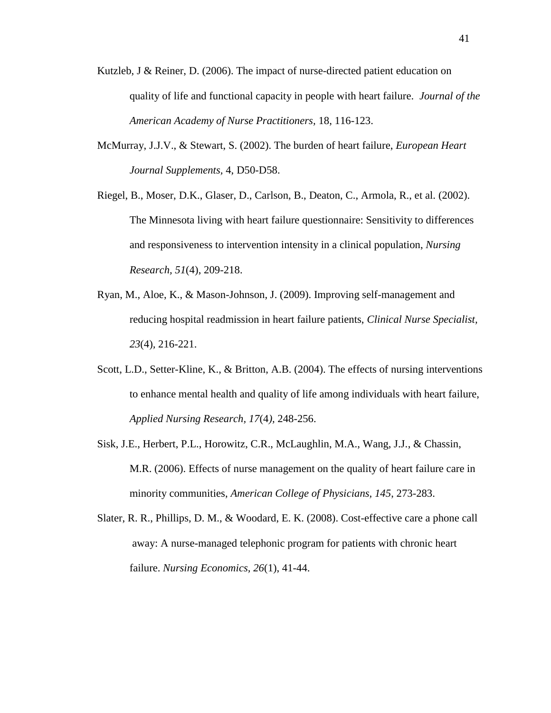- Kutzleb, J & Reiner, D. (2006). The impact of nurse-directed patient education on quality of life and functional capacity in people with heart failure. *Journal of the American Academy of Nurse Practitioners,* 18, 116-123.
- McMurray, J.J.V., & Stewart, S. (2002). The burden of heart failure, *European Heart Journal Supplements,* 4, D50-D58.
- Riegel, B., Moser, D.K., Glaser, D., Carlson, B., Deaton, C., Armola, R., et al. (2002). The Minnesota living with heart failure questionnaire: Sensitivity to differences and responsiveness to intervention intensity in a clinical population, *Nursing Research, 51*(4), 209-218.
- Ryan, M., Aloe, K., & Mason-Johnson, J. (2009). Improving self-management and reducing hospital readmission in heart failure patients, *Clinical Nurse Specialist, 23*(4)*,* 216-221.
- Scott, L.D., Setter-Kline, K., & Britton, A.B. (2004). The effects of nursing interventions to enhance mental health and quality of life among individuals with heart failure, *Applied Nursing Research, 17*(4*),* 248-256.
- Sisk, J.E., Herbert, P.L., Horowitz, C.R., McLaughlin, M.A., Wang, J.J., & Chassin, M.R. (2006). Effects of nurse management on the quality of heart failure care in minority communities, *American College of Physicians, 145*, 273-283.
- Slater, R. R., Phillips, D. M., & Woodard, E. K. (2008). Cost-effective care a phone call away: A nurse-managed telephonic program for patients with chronic heart failure. *Nursing Economics, 26*(1), 41-44.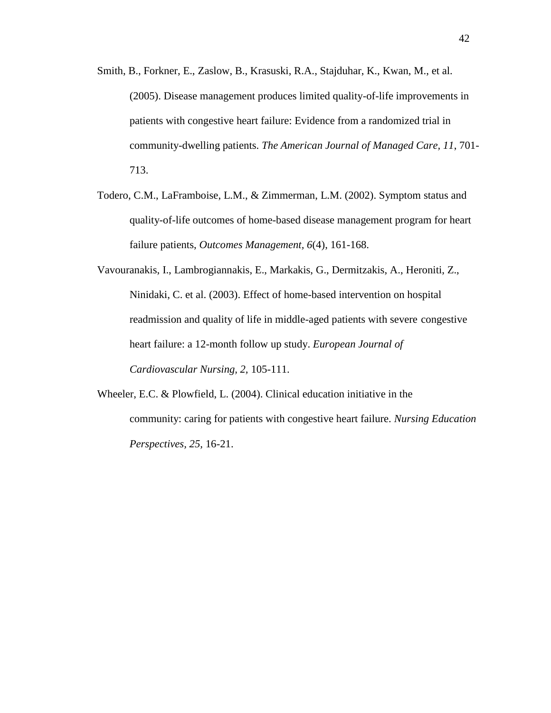- Smith, B., Forkner, E., Zaslow, B., Krasuski, R.A., Stajduhar, K., Kwan, M., et al. (2005). Disease management produces limited quality-of-life improvements in patients with congestive heart failure: Evidence from a randomized trial in community-dwelling patients. *The American Journal of Managed Care, 11*, 701- 713.
- Todero, C.M., LaFramboise, L.M., & Zimmerman, L.M. (2002). Symptom status and quality-of-life outcomes of home-based disease management program for heart failure patients, *Outcomes Management, 6*(4), 161-168.
- Vavouranakis, I., Lambrogiannakis, E., Markakis, G., Dermitzakis, A., Heroniti, Z., Ninidaki, C. et al. (2003). Effect of home-based intervention on hospital readmission and quality of life in middle-aged patients with severe congestive heart failure: a 12-month follow up study. *European Journal of Cardiovascular Nursing, 2,* 105-111.
- Wheeler, E.C. & Plowfield, L. (2004). Clinical education initiative in the community: caring for patients with congestive heart failure. *Nursing Education Perspectives, 25,* 16-21.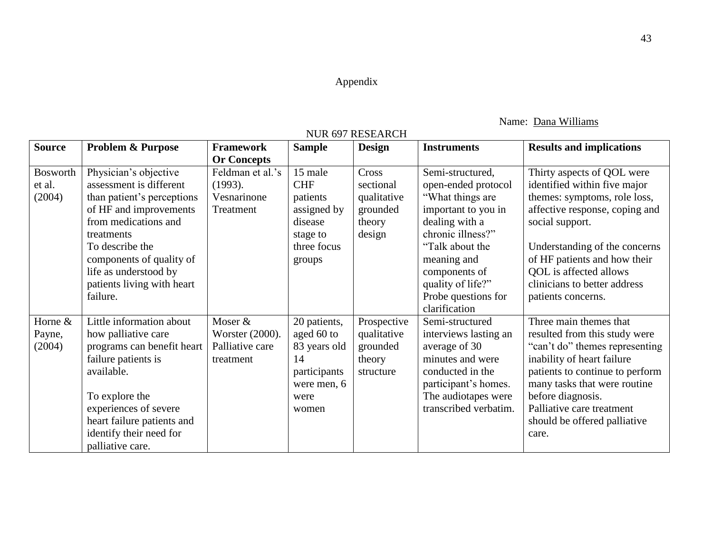## Appendix

## Name: Dana Williams

<span id="page-45-0"></span>

| <b>Source</b>   | <b>Problem &amp; Purpose</b> | <b>Framework</b>   | <b>Sample</b> | 1908 027 REDENROH<br><b>Design</b> | <b>Instruments</b>    | <b>Results and implications</b> |
|-----------------|------------------------------|--------------------|---------------|------------------------------------|-----------------------|---------------------------------|
|                 |                              | <b>Or Concepts</b> |               |                                    |                       |                                 |
| <b>Bosworth</b> | Physician's objective        | Feldman et al.'s   | 15 male       | Cross                              | Semi-structured,      | Thirty aspects of QOL were      |
| et al.          | assessment is different      | (1993).            | <b>CHF</b>    | sectional                          | open-ended protocol   | identified within five major    |
| (2004)          | than patient's perceptions   | Vesnarinone        | patients      | qualitative                        | "What things are      | themes: symptoms, role loss,    |
|                 | of HF and improvements       | Treatment          | assigned by   | grounded                           | important to you in   | affective response, coping and  |
|                 | from medications and         |                    | disease       | theory                             | dealing with a        | social support.                 |
|                 | treatments                   |                    | stage to      | design                             | chronic illness?"     |                                 |
|                 | To describe the              |                    | three focus   |                                    | "Talk about the       | Understanding of the concerns   |
|                 | components of quality of     |                    | groups        |                                    | meaning and           | of HF patients and how their    |
|                 | life as understood by        |                    |               |                                    | components of         | QOL is affected allows          |
|                 | patients living with heart   |                    |               |                                    | quality of life?"     | clinicians to better address    |
|                 | failure.                     |                    |               |                                    | Probe questions for   | patients concerns.              |
|                 |                              |                    |               |                                    | clarification         |                                 |
| Horne &         | Little information about     | Moser &            | 20 patients,  | Prospective                        | Semi-structured       | Three main themes that          |
| Payne,          | how palliative care          | Worster (2000).    | aged 60 to    | qualitative                        | interviews lasting an | resulted from this study were   |
| (2004)          | programs can benefit heart   | Palliative care    | 83 years old  | grounded                           | average of 30         | "can't do" themes representing  |
|                 | failure patients is          | treatment          | 14            | theory                             | minutes and were      | inability of heart failure      |
|                 | available.                   |                    | participants  | structure                          | conducted in the      | patients to continue to perform |
|                 |                              |                    | were men, 6   |                                    | participant's homes.  | many tasks that were routine    |
|                 | To explore the               |                    | were          |                                    | The audiotapes were   | before diagnosis.               |
|                 | experiences of severe        |                    | women         |                                    | transcribed verbatim. | Palliative care treatment       |
|                 | heart failure patients and   |                    |               |                                    |                       | should be offered palliative    |
|                 | identify their need for      |                    |               |                                    |                       | care.                           |
|                 | palliative care.             |                    |               |                                    |                       |                                 |

## NUR 697 RESEARCH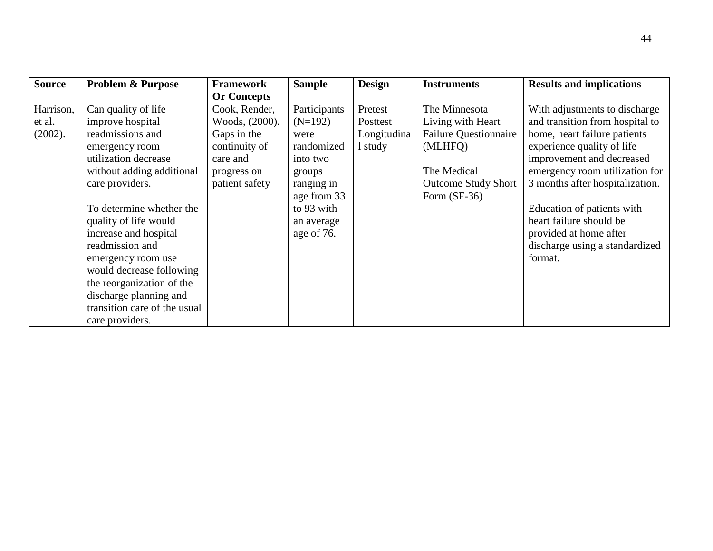| <b>Source</b> | Problem & Purpose            | Framework          | <b>Sample</b> | <b>Design</b> | <b>Instruments</b>           | <b>Results and implications</b> |
|---------------|------------------------------|--------------------|---------------|---------------|------------------------------|---------------------------------|
|               |                              | <b>Or Concepts</b> |               |               |                              |                                 |
| Harrison,     | Can quality of life          | Cook, Render,      | Participants  | Pretest       | The Minnesota                | With adjustments to discharge   |
| et al.        | improve hospital             | Woods, (2000).     | $(N=192)$     | Posttest      | Living with Heart            | and transition from hospital to |
| (2002).       | readmissions and             | Gaps in the        | were          | Longitudina   | <b>Failure Questionnaire</b> | home, heart failure patients    |
|               | emergency room               | continuity of      | randomized    | 1 study       | (MLHFQ)                      | experience quality of life      |
|               | utilization decrease         | care and           | into two      |               |                              | improvement and decreased       |
|               | without adding additional    | progress on        | groups        |               | The Medical                  | emergency room utilization for  |
|               | care providers.              | patient safety     | ranging in    |               | <b>Outcome Study Short</b>   | 3 months after hospitalization. |
|               |                              |                    | age from 33   |               | Form $(SF-36)$               |                                 |
|               | To determine whether the     |                    | to 93 with    |               |                              | Education of patients with      |
|               | quality of life would        |                    | an average    |               |                              | heart failure should be         |
|               | increase and hospital        |                    | age of 76.    |               |                              | provided at home after          |
|               | readmission and              |                    |               |               |                              | discharge using a standardized  |
|               | emergency room use           |                    |               |               |                              | format.                         |
|               | would decrease following     |                    |               |               |                              |                                 |
|               | the reorganization of the    |                    |               |               |                              |                                 |
|               | discharge planning and       |                    |               |               |                              |                                 |
|               | transition care of the usual |                    |               |               |                              |                                 |
|               | care providers.              |                    |               |               |                              |                                 |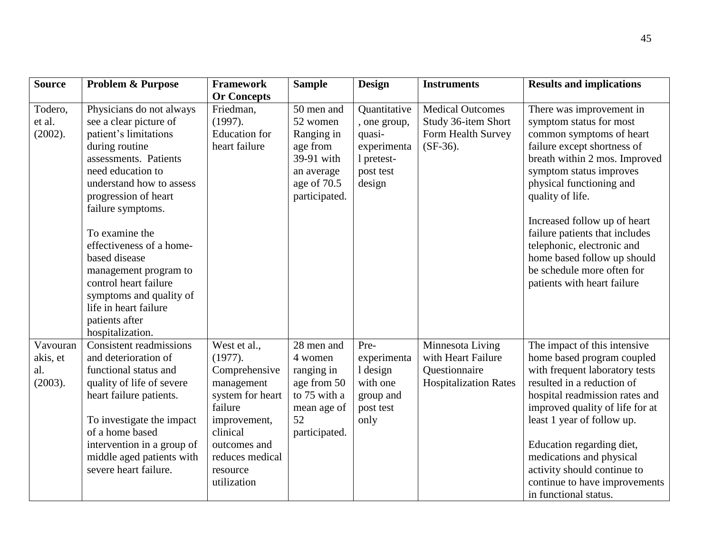| <b>Source</b>                          | <b>Problem &amp; Purpose</b>                                                                                                                                                                                                                                                                                                                                                                                                    | <b>Framework</b>                                                                                                                                                                | <b>Sample</b>                                                                                                | <b>Design</b>                                                                              | <b>Instruments</b>                                                                      | <b>Results and implications</b>                                                                                                                                                                                                                                                                                                                                                                                        |
|----------------------------------------|---------------------------------------------------------------------------------------------------------------------------------------------------------------------------------------------------------------------------------------------------------------------------------------------------------------------------------------------------------------------------------------------------------------------------------|---------------------------------------------------------------------------------------------------------------------------------------------------------------------------------|--------------------------------------------------------------------------------------------------------------|--------------------------------------------------------------------------------------------|-----------------------------------------------------------------------------------------|------------------------------------------------------------------------------------------------------------------------------------------------------------------------------------------------------------------------------------------------------------------------------------------------------------------------------------------------------------------------------------------------------------------------|
| Todero,<br>et al.<br>(2002).           | Physicians do not always<br>see a clear picture of<br>patient's limitations<br>during routine<br>assessments. Patients<br>need education to<br>understand how to assess<br>progression of heart<br>failure symptoms.<br>To examine the<br>effectiveness of a home-<br>based disease<br>management program to<br>control heart failure<br>symptoms and quality of<br>life in heart failure<br>patients after<br>hospitalization. | <b>Or Concepts</b><br>Friedman,<br>(1997).<br><b>Education</b> for<br>heart failure                                                                                             | 50 men and<br>52 women<br>Ranging in<br>age from<br>39-91 with<br>an average<br>age of 70.5<br>participated. | Quantitative<br>, one group,<br>quasi-<br>experimenta<br>1 pretest-<br>post test<br>design | <b>Medical Outcomes</b><br>Study 36-item Short<br>Form Health Survey<br>$(SF-36)$ .     | There was improvement in<br>symptom status for most<br>common symptoms of heart<br>failure except shortness of<br>breath within 2 mos. Improved<br>symptom status improves<br>physical functioning and<br>quality of life.<br>Increased follow up of heart<br>failure patients that includes<br>telephonic, electronic and<br>home based follow up should<br>be schedule more often for<br>patients with heart failure |
| Vavouran<br>akis, et<br>al.<br>(2003). | <b>Consistent readmissions</b><br>and deterioration of<br>functional status and<br>quality of life of severe<br>heart failure patients.<br>To investigate the impact<br>of a home based<br>intervention in a group of<br>middle aged patients with<br>severe heart failure.                                                                                                                                                     | West et al.,<br>(1977).<br>Comprehensive<br>management<br>system for heart<br>failure<br>improvement,<br>clinical<br>outcomes and<br>reduces medical<br>resource<br>utilization | 28 men and<br>4 women<br>ranging in<br>age from 50<br>to 75 with a<br>mean age of<br>52<br>participated.     | Pre-<br>experimenta<br>1 design<br>with one<br>group and<br>post test<br>only              | Minnesota Living<br>with Heart Failure<br>Questionnaire<br><b>Hospitalization Rates</b> | The impact of this intensive<br>home based program coupled<br>with frequent laboratory tests<br>resulted in a reduction of<br>hospital readmission rates and<br>improved quality of life for at<br>least 1 year of follow up.<br>Education regarding diet,<br>medications and physical<br>activity should continue to<br>continue to have improvements<br>in functional status.                                        |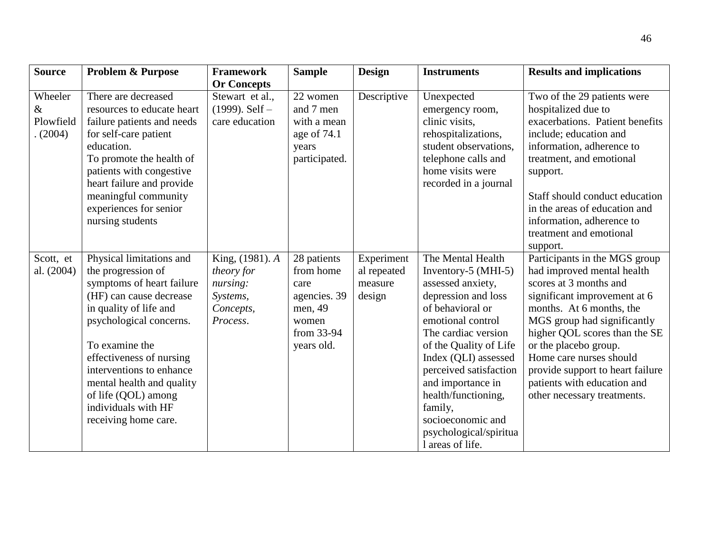| <b>Source</b>                          | <b>Problem &amp; Purpose</b>                                                                                                                                                                                                                                                                                                             | <b>Framework</b>                                                               | <b>Sample</b>                                                                                    | <b>Design</b>                                  | <b>Instruments</b>                                                                                                                                                                                                                                                                                                                                         | <b>Results and implications</b>                                                                                                                                                                                                                                                                                                                                         |
|----------------------------------------|------------------------------------------------------------------------------------------------------------------------------------------------------------------------------------------------------------------------------------------------------------------------------------------------------------------------------------------|--------------------------------------------------------------------------------|--------------------------------------------------------------------------------------------------|------------------------------------------------|------------------------------------------------------------------------------------------------------------------------------------------------------------------------------------------------------------------------------------------------------------------------------------------------------------------------------------------------------------|-------------------------------------------------------------------------------------------------------------------------------------------------------------------------------------------------------------------------------------------------------------------------------------------------------------------------------------------------------------------------|
|                                        |                                                                                                                                                                                                                                                                                                                                          | <b>Or Concepts</b>                                                             |                                                                                                  |                                                |                                                                                                                                                                                                                                                                                                                                                            |                                                                                                                                                                                                                                                                                                                                                                         |
| Wheeler<br>$\&$<br>Plowfield<br>(2004) | There are decreased<br>resources to educate heart<br>failure patients and needs<br>for self-care patient<br>education.<br>To promote the health of<br>patients with congestive<br>heart failure and provide<br>meaningful community<br>experiences for senior<br>nursing students                                                        | Stewart et al.,<br>$(1999)$ . Self –<br>care education                         | 22 women<br>and 7 men<br>with a mean<br>age of 74.1<br>years<br>participated.                    | Descriptive                                    | Unexpected<br>emergency room,<br>clinic visits,<br>rehospitalizations,<br>student observations,<br>telephone calls and<br>home visits were<br>recorded in a journal                                                                                                                                                                                        | Two of the 29 patients were<br>hospitalized due to<br>exacerbations. Patient benefits<br>include; education and<br>information, adherence to<br>treatment, and emotional<br>support.<br>Staff should conduct education<br>in the areas of education and<br>information, adherence to<br>treatment and emotional<br>support.                                             |
| Scott, et<br>al. (2004)                | Physical limitations and<br>the progression of<br>symptoms of heart failure<br>(HF) can cause decrease<br>in quality of life and<br>psychological concerns.<br>To examine the<br>effectiveness of nursing<br>interventions to enhance<br>mental health and quality<br>of life (QOL) among<br>individuals with HF<br>receiving home care. | King, (1981). A<br>theory for<br>nursing:<br>Systems,<br>Concepts,<br>Process. | 28 patients<br>from home<br>care<br>agencies. 39<br>men, 49<br>women<br>from 33-94<br>years old. | Experiment<br>al repeated<br>measure<br>design | The Mental Health<br>Inventory-5 (MHI-5)<br>assessed anxiety,<br>depression and loss<br>of behavioral or<br>emotional control<br>The cardiac version<br>of the Quality of Life<br>Index (QLI) assessed<br>perceived satisfaction<br>and importance in<br>health/functioning,<br>family,<br>socioeconomic and<br>psychological/spiritua<br>1 areas of life. | Participants in the MGS group<br>had improved mental health<br>scores at 3 months and<br>significant improvement at 6<br>months. At 6 months, the<br>MGS group had significantly<br>higher QOL scores than the SE<br>or the placebo group.<br>Home care nurses should<br>provide support to heart failure<br>patients with education and<br>other necessary treatments. |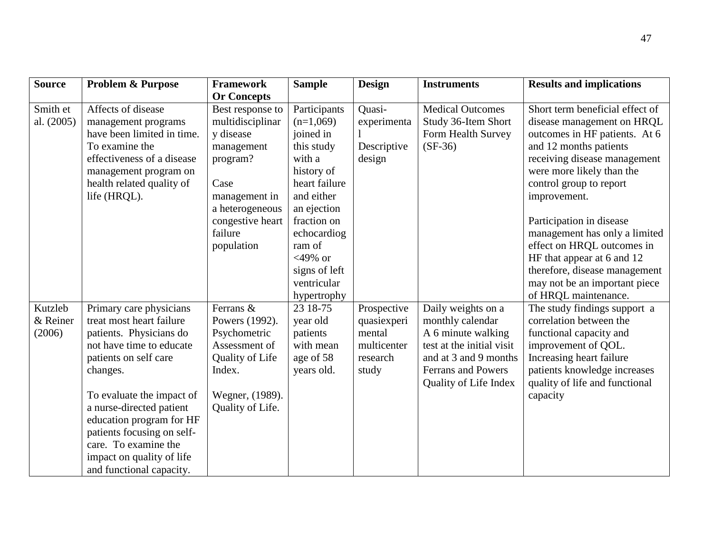| <b>Source</b>                 | <b>Problem &amp; Purpose</b>                                                                                                                                                                                                                                                                                                                        | <b>Framework</b>                                                                                                                                                     | <b>Sample</b>                                                                                                                                                                                                      | <b>Design</b>                                                            | <b>Instruments</b>                                                                                                                                                | <b>Results and implications</b>                                                                                                                                                                                                                                                                                                                                                                                             |
|-------------------------------|-----------------------------------------------------------------------------------------------------------------------------------------------------------------------------------------------------------------------------------------------------------------------------------------------------------------------------------------------------|----------------------------------------------------------------------------------------------------------------------------------------------------------------------|--------------------------------------------------------------------------------------------------------------------------------------------------------------------------------------------------------------------|--------------------------------------------------------------------------|-------------------------------------------------------------------------------------------------------------------------------------------------------------------|-----------------------------------------------------------------------------------------------------------------------------------------------------------------------------------------------------------------------------------------------------------------------------------------------------------------------------------------------------------------------------------------------------------------------------|
|                               |                                                                                                                                                                                                                                                                                                                                                     | <b>Or Concepts</b>                                                                                                                                                   |                                                                                                                                                                                                                    |                                                                          |                                                                                                                                                                   |                                                                                                                                                                                                                                                                                                                                                                                                                             |
| Smith et<br>al. (2005)        | Affects of disease<br>management programs<br>have been limited in time.<br>To examine the<br>effectiveness of a disease<br>management program on<br>health related quality of<br>life (HRQL).                                                                                                                                                       | Best response to<br>multidisciplinar<br>y disease<br>management<br>program?<br>Case<br>management in<br>a heterogeneous<br>congestive heart<br>failure<br>population | Participants<br>$(n=1,069)$<br>joined in<br>this study<br>with a<br>history of<br>heart failure<br>and either<br>an ejection<br>fraction on<br>echocardiog<br>ram of<br>$<$ 49% or<br>signs of left<br>ventricular | Quasi-<br>experimenta<br>Descriptive<br>design                           | <b>Medical Outcomes</b><br>Study 36-Item Short<br>Form Health Survey<br>$(SF-36)$                                                                                 | Short term beneficial effect of<br>disease management on HRQL<br>outcomes in HF patients. At 6<br>and 12 months patients<br>receiving disease management<br>were more likely than the<br>control group to report<br>improvement.<br>Participation in disease<br>management has only a limited<br>effect on HRQL outcomes in<br>HF that appear at 6 and 12<br>therefore, disease management<br>may not be an important piece |
|                               |                                                                                                                                                                                                                                                                                                                                                     |                                                                                                                                                                      | hypertrophy                                                                                                                                                                                                        |                                                                          |                                                                                                                                                                   | of HRQL maintenance.                                                                                                                                                                                                                                                                                                                                                                                                        |
| Kutzleb<br>& Reiner<br>(2006) | Primary care physicians<br>treat most heart failure<br>patients. Physicians do<br>not have time to educate<br>patients on self care<br>changes.<br>To evaluate the impact of<br>a nurse-directed patient<br>education program for HF<br>patients focusing on self-<br>care. To examine the<br>impact on quality of life<br>and functional capacity. | Ferrans &<br>Powers (1992).<br>Psychometric<br>Assessment of<br>Quality of Life<br>Index.<br>Wegner, (1989).<br>Quality of Life.                                     | 23 18-75<br>year old<br>patients<br>with mean<br>age of 58<br>years old.                                                                                                                                           | Prospective<br>quasiexperi<br>mental<br>multicenter<br>research<br>study | Daily weights on a<br>monthly calendar<br>A 6 minute walking<br>test at the initial visit<br>and at 3 and 9 months<br>Ferrans and Powers<br>Quality of Life Index | The study findings support a<br>correlation between the<br>functional capacity and<br>improvement of QOL.<br>Increasing heart failure<br>patients knowledge increases<br>quality of life and functional<br>capacity                                                                                                                                                                                                         |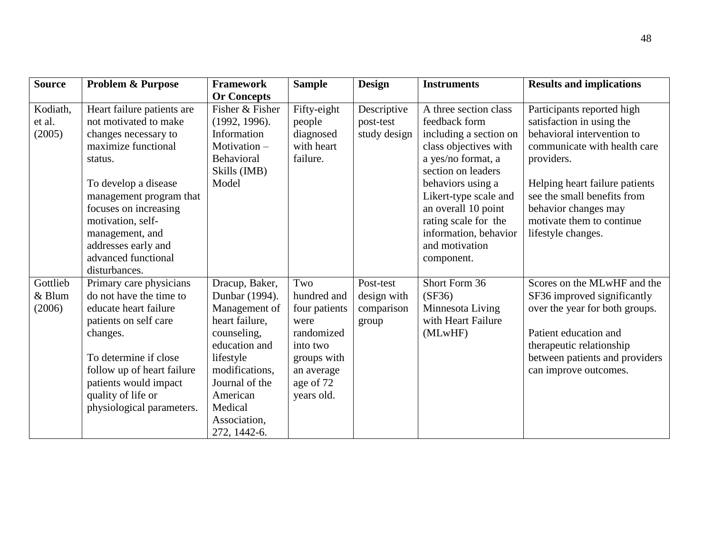| <b>Source</b>                | <b>Problem &amp; Purpose</b>                                                                                                                                                                                                                                                                     | <b>Framework</b>                                                                                                                                                                                            | <b>Sample</b>                                                                                                                 | <b>Design</b>                                   | <b>Instruments</b>                                                                                                                                                                                                                                                                          | <b>Results and implications</b>                                                                                                                                                                                                                                                 |
|------------------------------|--------------------------------------------------------------------------------------------------------------------------------------------------------------------------------------------------------------------------------------------------------------------------------------------------|-------------------------------------------------------------------------------------------------------------------------------------------------------------------------------------------------------------|-------------------------------------------------------------------------------------------------------------------------------|-------------------------------------------------|---------------------------------------------------------------------------------------------------------------------------------------------------------------------------------------------------------------------------------------------------------------------------------------------|---------------------------------------------------------------------------------------------------------------------------------------------------------------------------------------------------------------------------------------------------------------------------------|
|                              |                                                                                                                                                                                                                                                                                                  | <b>Or Concepts</b>                                                                                                                                                                                          |                                                                                                                               |                                                 |                                                                                                                                                                                                                                                                                             |                                                                                                                                                                                                                                                                                 |
| Kodiath,<br>et al.<br>(2005) | Heart failure patients are<br>not motivated to make<br>changes necessary to<br>maximize functional<br>status.<br>To develop a disease<br>management program that<br>focuses on increasing<br>motivation, self-<br>management, and<br>addresses early and<br>advanced functional<br>disturbances. | Fisher & Fisher<br>(1992, 1996).<br>Information<br>Motivation-<br>Behavioral<br>Skills (IMB)<br>Model                                                                                                       | Fifty-eight<br>people<br>diagnosed<br>with heart<br>failure.                                                                  | Descriptive<br>post-test<br>study design        | A three section class<br>feedback form<br>including a section on<br>class objectives with<br>a yes/no format, a<br>section on leaders<br>behaviors using a<br>Likert-type scale and<br>an overall 10 point<br>rating scale for the<br>information, behavior<br>and motivation<br>component. | Participants reported high<br>satisfaction in using the<br>behavioral intervention to<br>communicate with health care<br>providers.<br>Helping heart failure patients<br>see the small benefits from<br>behavior changes may<br>motivate them to continue<br>lifestyle changes. |
| Gottlieb<br>& Blum<br>(2006) | Primary care physicians<br>do not have the time to<br>educate heart failure<br>patients on self care<br>changes.<br>To determine if close<br>follow up of heart failure<br>patients would impact<br>quality of life or<br>physiological parameters.                                              | Dracup, Baker,<br>Dunbar (1994).<br>Management of<br>heart failure,<br>counseling,<br>education and<br>lifestyle<br>modifications,<br>Journal of the<br>American<br>Medical<br>Association,<br>272, 1442-6. | Two<br>hundred and<br>four patients<br>were<br>randomized<br>into two<br>groups with<br>an average<br>age of 72<br>years old. | Post-test<br>design with<br>comparison<br>group | Short Form 36<br>(SF36)<br>Minnesota Living<br>with Heart Failure<br>(MLwHF)                                                                                                                                                                                                                | Scores on the MLwHF and the<br>SF36 improved significantly<br>over the year for both groups.<br>Patient education and<br>therapeutic relationship<br>between patients and providers<br>can improve outcomes.                                                                    |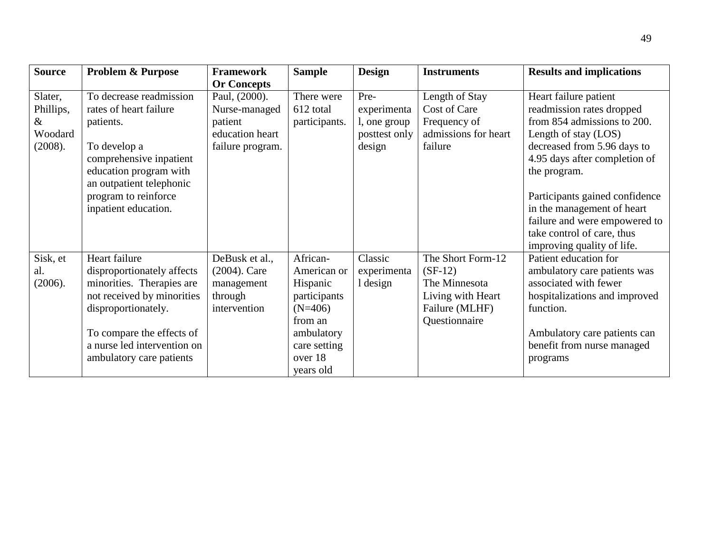| <b>Source</b>                | <b>Problem &amp; Purpose</b>                                                                                                  | <b>Framework</b>                                                           | <b>Sample</b>                                                               | <b>Design</b>                       | <b>Instruments</b>                                                                                      | <b>Results and implications</b>                                                                                                                           |
|------------------------------|-------------------------------------------------------------------------------------------------------------------------------|----------------------------------------------------------------------------|-----------------------------------------------------------------------------|-------------------------------------|---------------------------------------------------------------------------------------------------------|-----------------------------------------------------------------------------------------------------------------------------------------------------------|
|                              |                                                                                                                               | <b>Or Concepts</b>                                                         |                                                                             |                                     |                                                                                                         |                                                                                                                                                           |
| Slater,<br>Phillips,<br>$\&$ | To decrease readmission<br>rates of heart failure<br>patients.                                                                | Paul, (2000).<br>Nurse-managed<br>patient                                  | There were<br>612 total<br>participants.                                    | Pre-<br>experimenta<br>l, one group | Length of Stay<br>Cost of Care<br>Frequency of                                                          | Heart failure patient<br>readmission rates dropped<br>from 854 admissions to 200.                                                                         |
| Woodard                      |                                                                                                                               | education heart                                                            |                                                                             | posttest only                       | admissions for heart                                                                                    | Length of stay (LOS)                                                                                                                                      |
| (2008).                      | To develop a<br>comprehensive inpatient<br>education program with<br>an outpatient telephonic                                 | failure program.                                                           |                                                                             | design                              | failure                                                                                                 | decreased from 5.96 days to<br>4.95 days after completion of<br>the program.                                                                              |
|                              | program to reinforce<br>inpatient education.                                                                                  |                                                                            |                                                                             |                                     |                                                                                                         | Participants gained confidence<br>in the management of heart<br>failure and were empowered to<br>take control of care, thus<br>improving quality of life. |
| Sisk, et<br>al.<br>(2006).   | Heart failure<br>disproportionately affects<br>minorities. Therapies are<br>not received by minorities<br>disproportionately. | DeBusk et al.,<br>$(2004)$ . Care<br>management<br>through<br>intervention | African-<br>American or<br>Hispanic<br>participants<br>$(N=406)$<br>from an | Classic<br>experimenta<br>1 design  | The Short Form-12<br>$(SF-12)$<br>The Minnesota<br>Living with Heart<br>Failure (MLHF)<br>Questionnaire | Patient education for<br>ambulatory care patients was<br>associated with fewer<br>hospitalizations and improved<br>function.                              |
|                              | To compare the effects of<br>a nurse led intervention on<br>ambulatory care patients                                          |                                                                            | ambulatory<br>care setting<br>over 18<br>years old                          |                                     |                                                                                                         | Ambulatory care patients can<br>benefit from nurse managed<br>programs                                                                                    |